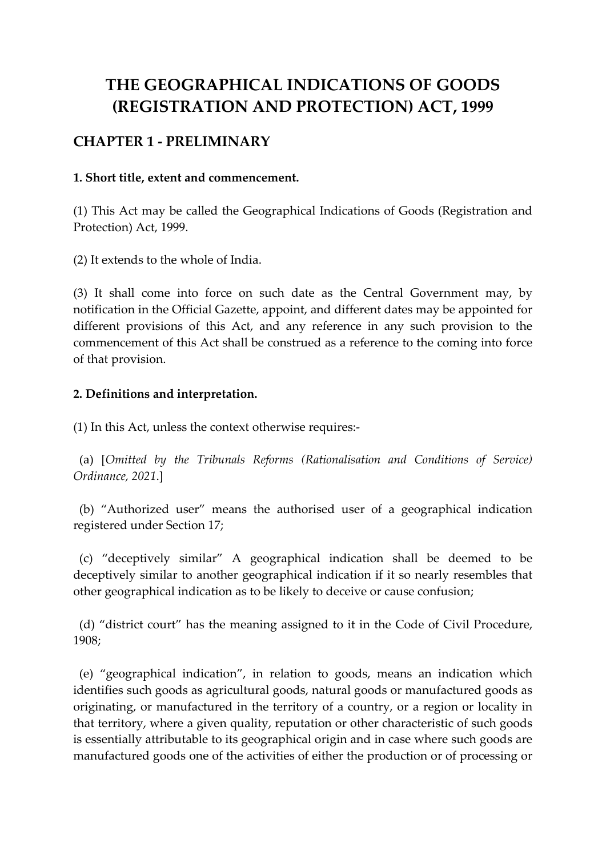# **THE GEOGRAPHICAL INDICATIONS OF GOODS (REGISTRATION AND PROTECTION) ACT, 1999**

# **CHAPTER 1 - PRELIMINARY**

#### **1. Short title, extent and commencement.**

(1) This Act may be called the Geographical Indications of Goods (Registration and Protection) Act, 1999.

(2) It extends to the whole of India.

(3) It shall come into force on such date as the Central Government may, by notification in the Official Gazette, appoint, and different dates may be appointed for different provisions of this Act, and any reference in any such provision to the commencement of this Act shall be construed as a reference to the coming into force of that provision.

## **2. Definitions and interpretation.**

(1) In this Act, unless the context otherwise requires:-

 (a) [*Omitted by the Tribunals Reforms (Rationalisation and Conditions of Service) Ordinance, 2021*.]

 (b) "Authorized user" means the authorised user of a geographical indication registered under Section 17;

 (c) "deceptively similar" A geographical indication shall be deemed to be deceptively similar to another geographical indication if it so nearly resembles that other geographical indication as to be likely to deceive or cause confusion;

 (d) "district court" has the meaning assigned to it in the Code of Civil Procedure, 1908;

 (e) "geographical indication", in relation to goods, means an indication which identifies such goods as agricultural goods, natural goods or manufactured goods as originating, or manufactured in the territory of a country, or a region or locality in that territory, where a given quality, reputation or other characteristic of such goods is essentially attributable to its geographical origin and in case where such goods are manufactured goods one of the activities of either the production or of processing or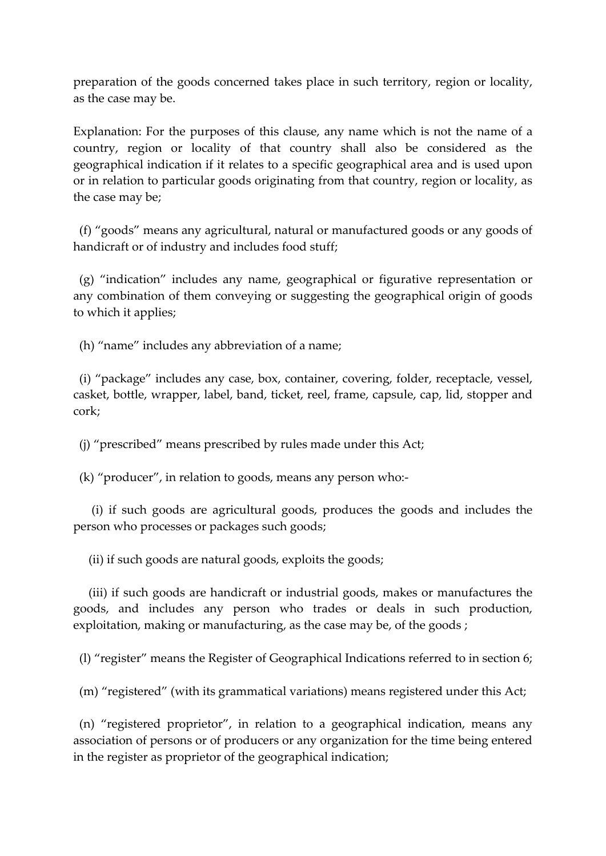preparation of the goods concerned takes place in such territory, region or locality, as the case may be.

Explanation: For the purposes of this clause, any name which is not the name of a country, region or locality of that country shall also be considered as the geographical indication if it relates to a specific geographical area and is used upon or in relation to particular goods originating from that country, region or locality, as the case may be;

 (f) "goods" means any agricultural, natural or manufactured goods or any goods of handicraft or of industry and includes food stuff;

 (g) "indication" includes any name, geographical or figurative representation or any combination of them conveying or suggesting the geographical origin of goods to which it applies;

(h) "name" includes any abbreviation of a name;

 (i) "package" includes any case, box, container, covering, folder, receptacle, vessel, casket, bottle, wrapper, label, band, ticket, reel, frame, capsule, cap, lid, stopper and cork;

(j) "prescribed" means prescribed by rules made under this Act;

(k) "producer", in relation to goods, means any person who:-

 (i) if such goods are agricultural goods, produces the goods and includes the person who processes or packages such goods;

(ii) if such goods are natural goods, exploits the goods;

 (iii) if such goods are handicraft or industrial goods, makes or manufactures the goods, and includes any person who trades or deals in such production, exploitation, making or manufacturing, as the case may be, of the goods ;

(l) "register" means the Register of Geographical Indications referred to in section 6;

(m) "registered" (with its grammatical variations) means registered under this Act;

 (n) "registered proprietor", in relation to a geographical indication, means any association of persons or of producers or any organization for the time being entered in the register as proprietor of the geographical indication;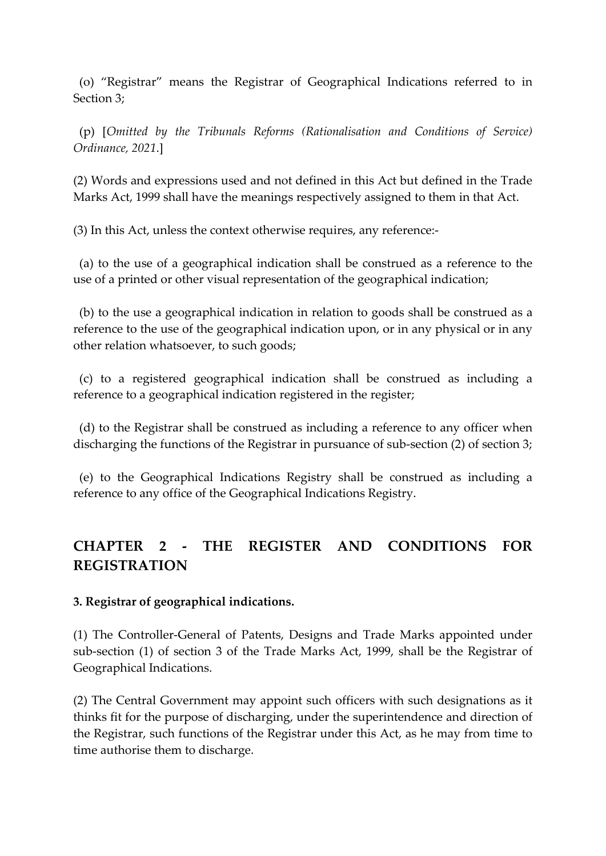(o) "Registrar" means the Registrar of Geographical Indications referred to in Section 3;

 (p) [*Omitted by the Tribunals Reforms (Rationalisation and Conditions of Service) Ordinance, 2021*.]

(2) Words and expressions used and not defined in this Act but defined in the Trade Marks Act, 1999 shall have the meanings respectively assigned to them in that Act.

(3) In this Act, unless the context otherwise requires, any reference:-

 (a) to the use of a geographical indication shall be construed as a reference to the use of a printed or other visual representation of the geographical indication;

 (b) to the use a geographical indication in relation to goods shall be construed as a reference to the use of the geographical indication upon, or in any physical or in any other relation whatsoever, to such goods;

 (c) to a registered geographical indication shall be construed as including a reference to a geographical indication registered in the register;

 (d) to the Registrar shall be construed as including a reference to any officer when discharging the functions of the Registrar in pursuance of sub-section (2) of section 3;

 (e) to the Geographical Indications Registry shall be construed as including a reference to any office of the Geographical Indications Registry.

# **CHAPTER 2 - THE REGISTER AND CONDITIONS FOR REGISTRATION**

#### **3. Registrar of geographical indications.**

(1) The Controller-General of Patents, Designs and Trade Marks appointed under sub-section (1) of section 3 of the Trade Marks Act, 1999, shall be the Registrar of Geographical Indications.

(2) The Central Government may appoint such officers with such designations as it thinks fit for the purpose of discharging, under the superintendence and direction of the Registrar, such functions of the Registrar under this Act, as he may from time to time authorise them to discharge.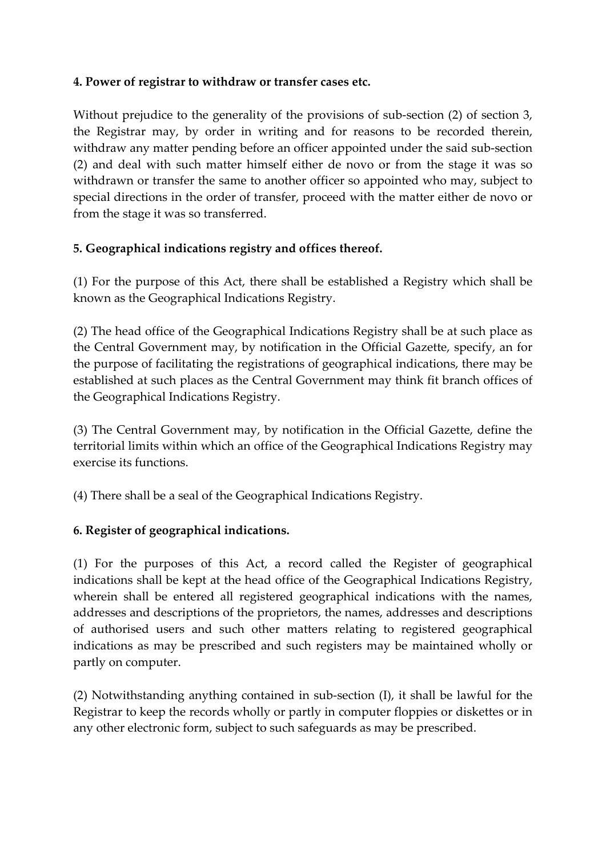### **4. Power of registrar to withdraw or transfer cases etc.**

Without prejudice to the generality of the provisions of sub-section (2) of section 3, the Registrar may, by order in writing and for reasons to be recorded therein, withdraw any matter pending before an officer appointed under the said sub-section (2) and deal with such matter himself either de novo or from the stage it was so withdrawn or transfer the same to another officer so appointed who may, subject to special directions in the order of transfer, proceed with the matter either de novo or from the stage it was so transferred.

# **5. Geographical indications registry and offices thereof.**

(1) For the purpose of this Act, there shall be established a Registry which shall be known as the Geographical Indications Registry.

(2) The head office of the Geographical Indications Registry shall be at such place as the Central Government may, by notification in the Official Gazette, specify, an for the purpose of facilitating the registrations of geographical indications, there may be established at such places as the Central Government may think fit branch offices of the Geographical Indications Registry.

(3) The Central Government may, by notification in the Official Gazette, define the territorial limits within which an office of the Geographical Indications Registry may exercise its functions.

(4) There shall be a seal of the Geographical Indications Registry.

# **6. Register of geographical indications.**

(1) For the purposes of this Act, a record called the Register of geographical indications shall be kept at the head office of the Geographical Indications Registry, wherein shall be entered all registered geographical indications with the names, addresses and descriptions of the proprietors, the names, addresses and descriptions of authorised users and such other matters relating to registered geographical indications as may be prescribed and such registers may be maintained wholly or partly on computer.

(2) Notwithstanding anything contained in sub-section (I), it shall be lawful for the Registrar to keep the records wholly or partly in computer floppies or diskettes or in any other electronic form, subject to such safeguards as may be prescribed.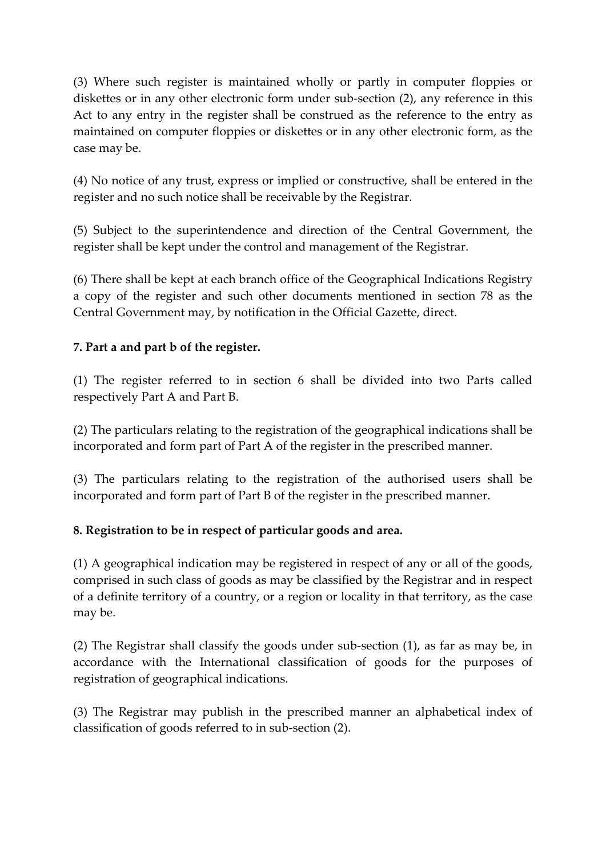(3) Where such register is maintained wholly or partly in computer floppies or diskettes or in any other electronic form under sub-section (2), any reference in this Act to any entry in the register shall be construed as the reference to the entry as maintained on computer floppies or diskettes or in any other electronic form, as the case may be.

(4) No notice of any trust, express or implied or constructive, shall be entered in the register and no such notice shall be receivable by the Registrar.

(5) Subject to the superintendence and direction of the Central Government, the register shall be kept under the control and management of the Registrar.

(6) There shall be kept at each branch office of the Geographical Indications Registry a copy of the register and such other documents mentioned in section 78 as the Central Government may, by notification in the Official Gazette, direct.

## **7. Part a and part b of the register.**

(1) The register referred to in section 6 shall be divided into two Parts called respectively Part A and Part B.

(2) The particulars relating to the registration of the geographical indications shall be incorporated and form part of Part A of the register in the prescribed manner.

(3) The particulars relating to the registration of the authorised users shall be incorporated and form part of Part B of the register in the prescribed manner.

#### **8. Registration to be in respect of particular goods and area.**

(1) A geographical indication may be registered in respect of any or all of the goods, comprised in such class of goods as may be classified by the Registrar and in respect of a definite territory of a country, or a region or locality in that territory, as the case may be.

(2) The Registrar shall classify the goods under sub-section (1), as far as may be, in accordance with the International classification of goods for the purposes of registration of geographical indications.

(3) The Registrar may publish in the prescribed manner an alphabetical index of classification of goods referred to in sub-section (2).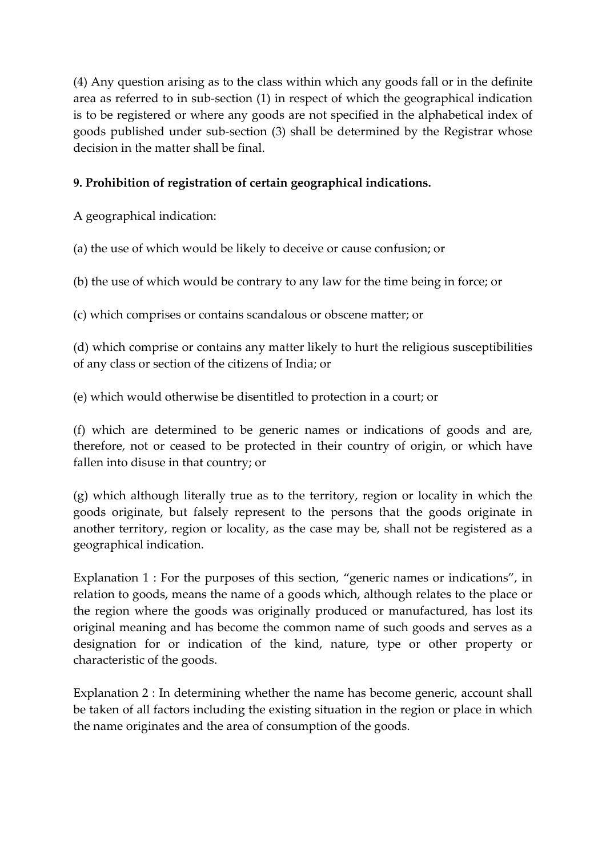(4) Any question arising as to the class within which any goods fall or in the definite area as referred to in sub-section (1) in respect of which the geographical indication is to be registered or where any goods are not specified in the alphabetical index of goods published under sub-section (3) shall be determined by the Registrar whose decision in the matter shall be final.

## **9. Prohibition of registration of certain geographical indications.**

A geographical indication:

(a) the use of which would be likely to deceive or cause confusion; or

(b) the use of which would be contrary to any law for the time being in force; or

(c) which comprises or contains scandalous or obscene matter; or

(d) which comprise or contains any matter likely to hurt the religious susceptibilities of any class or section of the citizens of India; or

(e) which would otherwise be disentitled to protection in a court; or

(f) which are determined to be generic names or indications of goods and are, therefore, not or ceased to be protected in their country of origin, or which have fallen into disuse in that country; or

(g) which although literally true as to the territory, region or locality in which the goods originate, but falsely represent to the persons that the goods originate in another territory, region or locality, as the case may be, shall not be registered as a geographical indication.

Explanation 1 : For the purposes of this section, "generic names or indications", in relation to goods, means the name of a goods which, although relates to the place or the region where the goods was originally produced or manufactured, has lost its original meaning and has become the common name of such goods and serves as a designation for or indication of the kind, nature, type or other property or characteristic of the goods.

Explanation 2 : In determining whether the name has become generic, account shall be taken of all factors including the existing situation in the region or place in which the name originates and the area of consumption of the goods.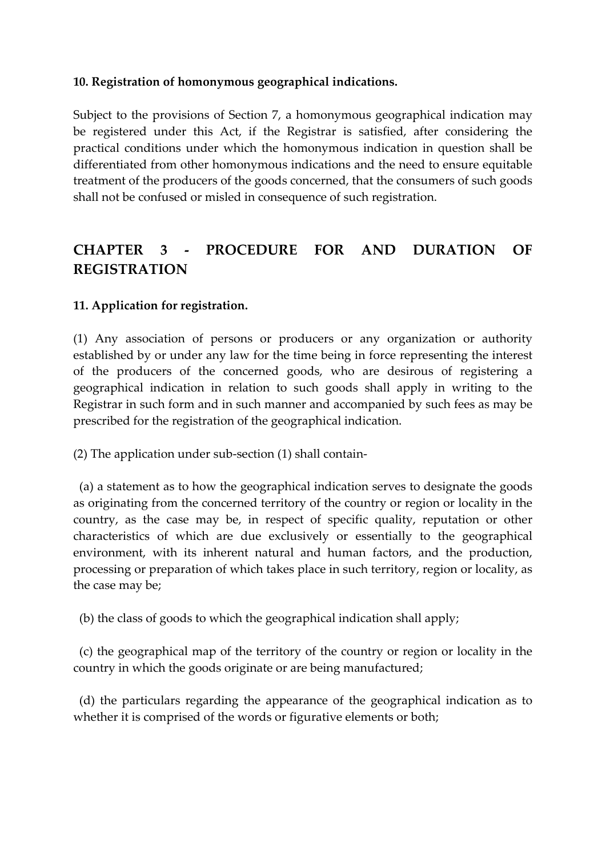#### **10. Registration of homonymous geographical indications.**

Subject to the provisions of Section 7, a homonymous geographical indication may be registered under this Act, if the Registrar is satisfied, after considering the practical conditions under which the homonymous indication in question shall be differentiated from other homonymous indications and the need to ensure equitable treatment of the producers of the goods concerned, that the consumers of such goods shall not be confused or misled in consequence of such registration.

# **CHAPTER 3 - PROCEDURE FOR AND DURATION OF REGISTRATION**

#### **11. Application for registration.**

(1) Any association of persons or producers or any organization or authority established by or under any law for the time being in force representing the interest of the producers of the concerned goods, who are desirous of registering a geographical indication in relation to such goods shall apply in writing to the Registrar in such form and in such manner and accompanied by such fees as may be prescribed for the registration of the geographical indication.

(2) The application under sub-section (1) shall contain-

 (a) a statement as to how the geographical indication serves to designate the goods as originating from the concerned territory of the country or region or locality in the country, as the case may be, in respect of specific quality, reputation or other characteristics of which are due exclusively or essentially to the geographical environment, with its inherent natural and human factors, and the production, processing or preparation of which takes place in such territory, region or locality, as the case may be;

(b) the class of goods to which the geographical indication shall apply;

 (c) the geographical map of the territory of the country or region or locality in the country in which the goods originate or are being manufactured;

 (d) the particulars regarding the appearance of the geographical indication as to whether it is comprised of the words or figurative elements or both;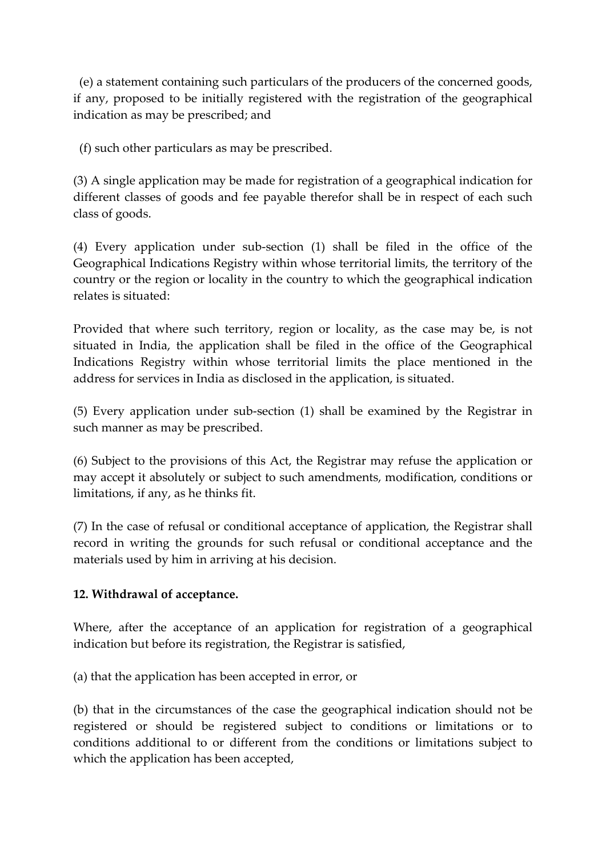(e) a statement containing such particulars of the producers of the concerned goods, if any, proposed to be initially registered with the registration of the geographical indication as may be prescribed; and

(f) such other particulars as may be prescribed.

(3) A single application may be made for registration of a geographical indication for different classes of goods and fee payable therefor shall be in respect of each such class of goods.

(4) Every application under sub-section (1) shall be filed in the office of the Geographical Indications Registry within whose territorial limits, the territory of the country or the region or locality in the country to which the geographical indication relates is situated:

Provided that where such territory, region or locality, as the case may be, is not situated in India, the application shall be filed in the office of the Geographical Indications Registry within whose territorial limits the place mentioned in the address for services in India as disclosed in the application, is situated.

(5) Every application under sub-section (1) shall be examined by the Registrar in such manner as may be prescribed.

(6) Subject to the provisions of this Act, the Registrar may refuse the application or may accept it absolutely or subject to such amendments, modification, conditions or limitations, if any, as he thinks fit.

(7) In the case of refusal or conditional acceptance of application, the Registrar shall record in writing the grounds for such refusal or conditional acceptance and the materials used by him in arriving at his decision.

# **12. Withdrawal of acceptance.**

Where, after the acceptance of an application for registration of a geographical indication but before its registration, the Registrar is satisfied,

(a) that the application has been accepted in error, or

(b) that in the circumstances of the case the geographical indication should not be registered or should be registered subject to conditions or limitations or to conditions additional to or different from the conditions or limitations subject to which the application has been accepted,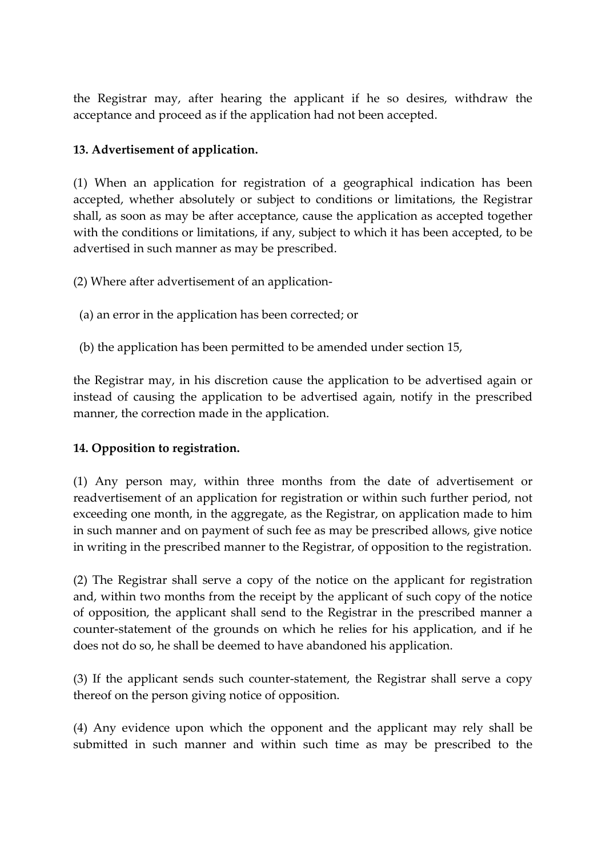the Registrar may, after hearing the applicant if he so desires, withdraw the acceptance and proceed as if the application had not been accepted.

# **13. Advertisement of application.**

(1) When an application for registration of a geographical indication has been accepted, whether absolutely or subject to conditions or limitations, the Registrar shall, as soon as may be after acceptance, cause the application as accepted together with the conditions or limitations, if any, subject to which it has been accepted, to be advertised in such manner as may be prescribed.

(2) Where after advertisement of an application-

- (a) an error in the application has been corrected; or
- (b) the application has been permitted to be amended under section 15,

the Registrar may, in his discretion cause the application to be advertised again or instead of causing the application to be advertised again, notify in the prescribed manner, the correction made in the application.

# **14. Opposition to registration.**

(1) Any person may, within three months from the date of advertisement or readvertisement of an application for registration or within such further period, not exceeding one month, in the aggregate, as the Registrar, on application made to him in such manner and on payment of such fee as may be prescribed allows, give notice in writing in the prescribed manner to the Registrar, of opposition to the registration.

(2) The Registrar shall serve a copy of the notice on the applicant for registration and, within two months from the receipt by the applicant of such copy of the notice of opposition, the applicant shall send to the Registrar in the prescribed manner a counter-statement of the grounds on which he relies for his application, and if he does not do so, he shall be deemed to have abandoned his application.

(3) If the applicant sends such counter-statement, the Registrar shall serve a copy thereof on the person giving notice of opposition.

(4) Any evidence upon which the opponent and the applicant may rely shall be submitted in such manner and within such time as may be prescribed to the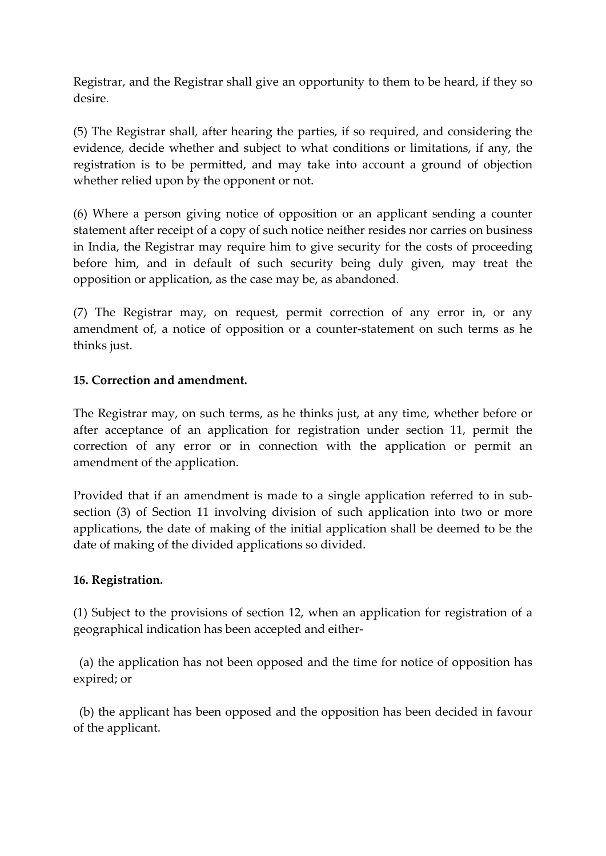Registrar, and the Registrar shall give an opportunity to them to be heard, if they so desire.

(5) The Registrar shall, after hearing the parties, if so required, and considering the evidence, decide whether and subject to what conditions or limitations, if any, the registration is to be permitted, and may take into account a ground of objection whether relied upon by the opponent or not.

(6) Where a person giving notice of opposition or an applicant sending a counter statement after receipt of a copy of such notice neither resides nor carries on business in India, the Registrar may require him to give security for the costs of proceeding before him, and in default of such security being duly given, may treat the opposition or application, as the case may be, as abandoned.

(7) The Registrar may, on request, permit correction of any error in, or any amendment of, a notice of opposition or a counter-statement on such terms as he thinks just.

#### **15. Correction and amendment.**

The Registrar may, on such terms, as he thinks just, at any time, whether before or after acceptance of an application for registration under section 11, permit the correction of any error or in connection with the application or permit an amendment of the application.

Provided that if an amendment is made to a single application referred to in subsection (3) of Section 11 involving division of such application into two or more applications, the date of making of the initial application shall be deemed to be the date of making of the divided applications so divided.

#### **16. Registration.**

(1) Subject to the provisions of section 12, when an application for registration of a geographical indication has been accepted and either-

 (a) the application has not been opposed and the time for notice of opposition has expired; or

 (b) the applicant has been opposed and the opposition has been decided in favour of the applicant.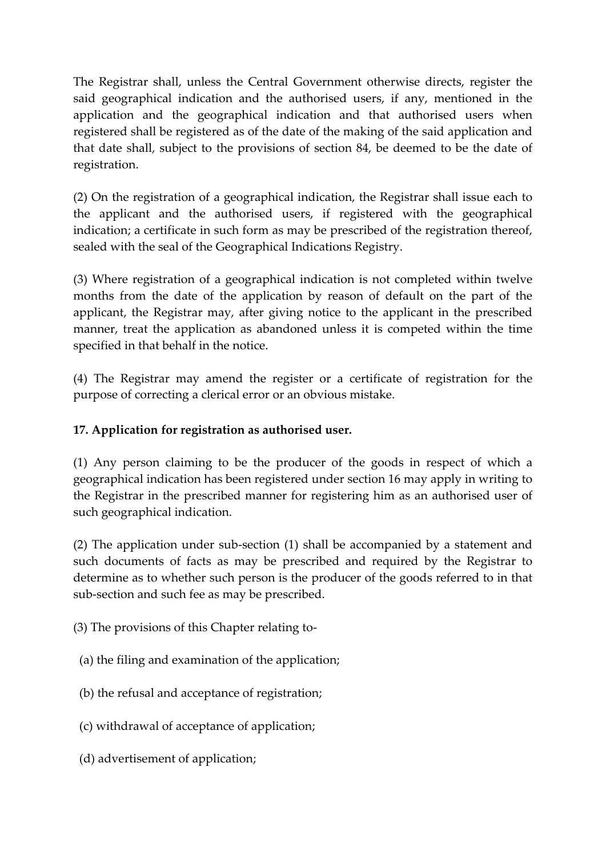The Registrar shall, unless the Central Government otherwise directs, register the said geographical indication and the authorised users, if any, mentioned in the application and the geographical indication and that authorised users when registered shall be registered as of the date of the making of the said application and that date shall, subject to the provisions of section 84, be deemed to be the date of registration.

(2) On the registration of a geographical indication, the Registrar shall issue each to the applicant and the authorised users, if registered with the geographical indication; a certificate in such form as may be prescribed of the registration thereof, sealed with the seal of the Geographical Indications Registry.

(3) Where registration of a geographical indication is not completed within twelve months from the date of the application by reason of default on the part of the applicant, the Registrar may, after giving notice to the applicant in the prescribed manner, treat the application as abandoned unless it is competed within the time specified in that behalf in the notice.

(4) The Registrar may amend the register or a certificate of registration for the purpose of correcting a clerical error or an obvious mistake.

# **17. Application for registration as authorised user.**

(1) Any person claiming to be the producer of the goods in respect of which a geographical indication has been registered under section 16 may apply in writing to the Registrar in the prescribed manner for registering him as an authorised user of such geographical indication.

(2) The application under sub-section (1) shall be accompanied by a statement and such documents of facts as may be prescribed and required by the Registrar to determine as to whether such person is the producer of the goods referred to in that sub-section and such fee as may be prescribed.

(3) The provisions of this Chapter relating to-

- (a) the filing and examination of the application;
- (b) the refusal and acceptance of registration;
- (c) withdrawal of acceptance of application;
- (d) advertisement of application;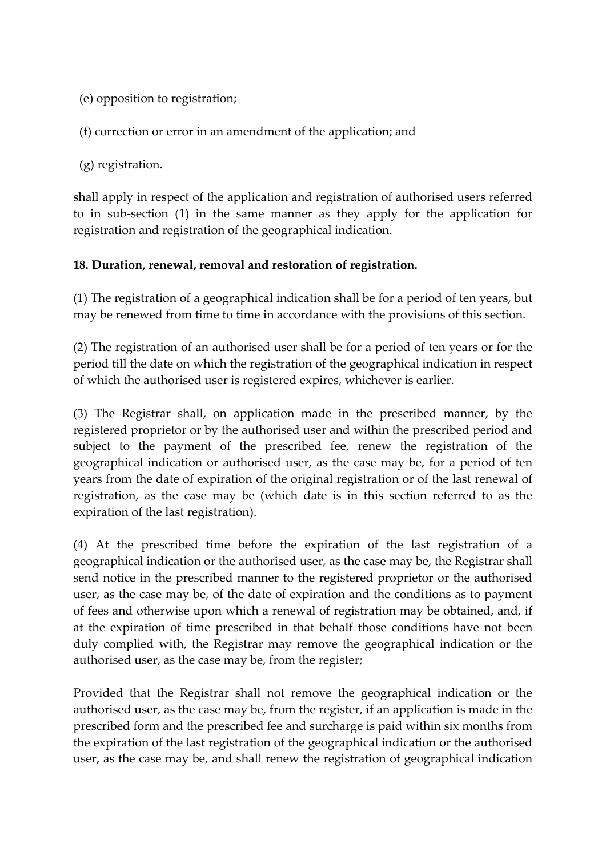- (e) opposition to registration;
- (f) correction or error in an amendment of the application; and
- (g) registration.

shall apply in respect of the application and registration of authorised users referred to in sub-section (1) in the same manner as they apply for the application for registration and registration of the geographical indication.

## **18. Duration, renewal, removal and restoration of registration.**

(1) The registration of a geographical indication shall be for a period of ten years, but may be renewed from time to time in accordance with the provisions of this section.

(2) The registration of an authorised user shall be for a period of ten years or for the period till the date on which the registration of the geographical indication in respect of which the authorised user is registered expires, whichever is earlier.

(3) The Registrar shall, on application made in the prescribed manner, by the registered proprietor or by the authorised user and within the prescribed period and subject to the payment of the prescribed fee, renew the registration of the geographical indication or authorised user, as the case may be, for a period of ten years from the date of expiration of the original registration or of the last renewal of registration, as the case may be (which date is in this section referred to as the expiration of the last registration).

(4) At the prescribed time before the expiration of the last registration of a geographical indication or the authorised user, as the case may be, the Registrar shall send notice in the prescribed manner to the registered proprietor or the authorised user, as the case may be, of the date of expiration and the conditions as to payment of fees and otherwise upon which a renewal of registration may be obtained, and, if at the expiration of time prescribed in that behalf those conditions have not been duly complied with, the Registrar may remove the geographical indication or the authorised user, as the case may be, from the register;

Provided that the Registrar shall not remove the geographical indication or the authorised user, as the case may be, from the register, if an application is made in the prescribed form and the prescribed fee and surcharge is paid within six months from the expiration of the last registration of the geographical indication or the authorised user, as the case may be, and shall renew the registration of geographical indication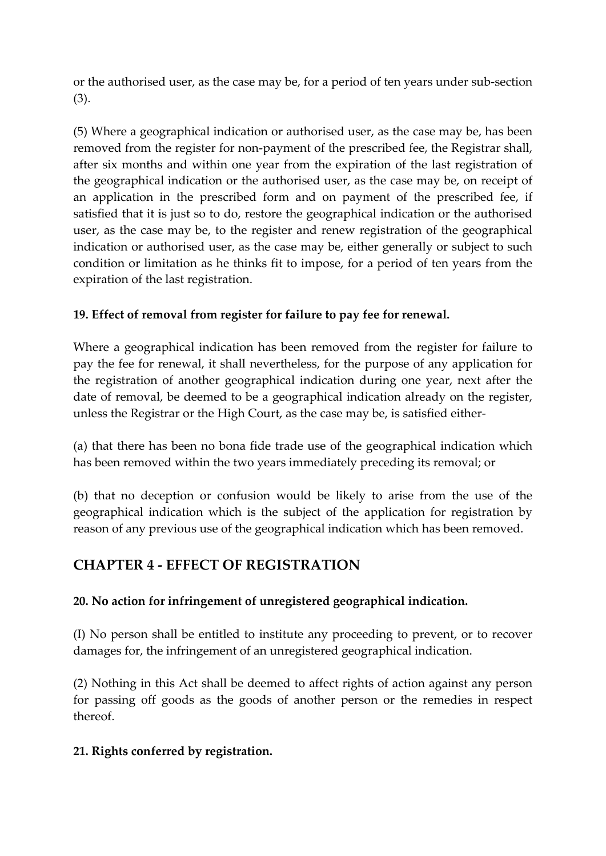or the authorised user, as the case may be, for a period of ten years under sub-section (3).

(5) Where a geographical indication or authorised user, as the case may be, has been removed from the register for non-payment of the prescribed fee, the Registrar shall, after six months and within one year from the expiration of the last registration of the geographical indication or the authorised user, as the case may be, on receipt of an application in the prescribed form and on payment of the prescribed fee, if satisfied that it is just so to do, restore the geographical indication or the authorised user, as the case may be, to the register and renew registration of the geographical indication or authorised user, as the case may be, either generally or subject to such condition or limitation as he thinks fit to impose, for a period of ten years from the expiration of the last registration.

## **19. Effect of removal from register for failure to pay fee for renewal.**

Where a geographical indication has been removed from the register for failure to pay the fee for renewal, it shall nevertheless, for the purpose of any application for the registration of another geographical indication during one year, next after the date of removal, be deemed to be a geographical indication already on the register, unless the Registrar or the High Court, as the case may be, is satisfied either-

(a) that there has been no bona fide trade use of the geographical indication which has been removed within the two years immediately preceding its removal; or

(b) that no deception or confusion would be likely to arise from the use of the geographical indication which is the subject of the application for registration by reason of any previous use of the geographical indication which has been removed.

# **CHAPTER 4 - EFFECT OF REGISTRATION**

#### **20. No action for infringement of unregistered geographical indication.**

(I) No person shall be entitled to institute any proceeding to prevent, or to recover damages for, the infringement of an unregistered geographical indication.

(2) Nothing in this Act shall be deemed to affect rights of action against any person for passing off goods as the goods of another person or the remedies in respect thereof.

#### **21. Rights conferred by registration.**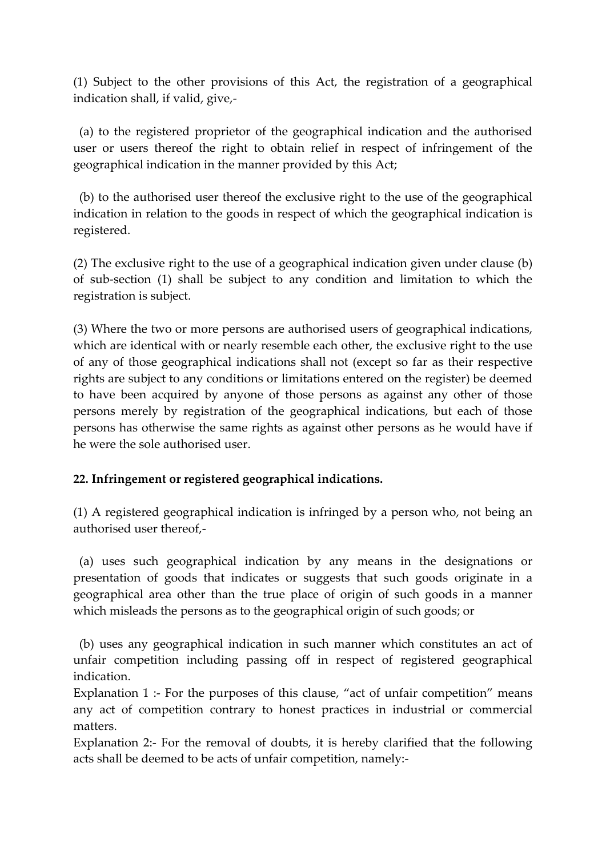(1) Subject to the other provisions of this Act, the registration of a geographical indication shall, if valid, give,-

 (a) to the registered proprietor of the geographical indication and the authorised user or users thereof the right to obtain relief in respect of infringement of the geographical indication in the manner provided by this Act;

 (b) to the authorised user thereof the exclusive right to the use of the geographical indication in relation to the goods in respect of which the geographical indication is registered.

(2) The exclusive right to the use of a geographical indication given under clause (b) of sub-section (1) shall be subject to any condition and limitation to which the registration is subject.

(3) Where the two or more persons are authorised users of geographical indications, which are identical with or nearly resemble each other, the exclusive right to the use of any of those geographical indications shall not (except so far as their respective rights are subject to any conditions or limitations entered on the register) be deemed to have been acquired by anyone of those persons as against any other of those persons merely by registration of the geographical indications, but each of those persons has otherwise the same rights as against other persons as he would have if he were the sole authorised user.

# **22. Infringement or registered geographical indications.**

(1) A registered geographical indication is infringed by a person who, not being an authorised user thereof,-

 (a) uses such geographical indication by any means in the designations or presentation of goods that indicates or suggests that such goods originate in a geographical area other than the true place of origin of such goods in a manner which misleads the persons as to the geographical origin of such goods; or

 (b) uses any geographical indication in such manner which constitutes an act of unfair competition including passing off in respect of registered geographical indication.

Explanation 1 :- For the purposes of this clause, "act of unfair competition" means any act of competition contrary to honest practices in industrial or commercial matters.

Explanation 2:- For the removal of doubts, it is hereby clarified that the following acts shall be deemed to be acts of unfair competition, namely:-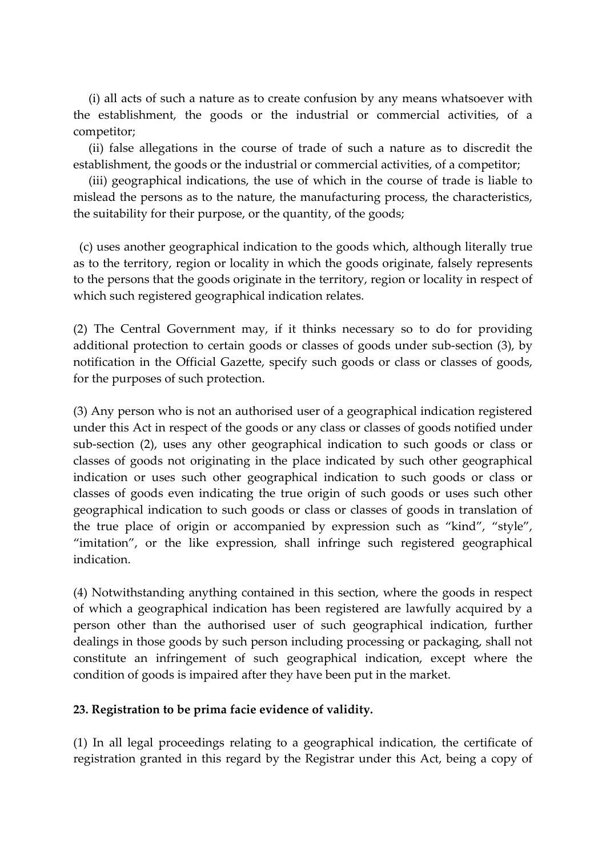(i) all acts of such a nature as to create confusion by any means whatsoever with the establishment, the goods or the industrial or commercial activities, of a competitor;

 (ii) false allegations in the course of trade of such a nature as to discredit the establishment, the goods or the industrial or commercial activities, of a competitor;

 (iii) geographical indications, the use of which in the course of trade is liable to mislead the persons as to the nature, the manufacturing process, the characteristics, the suitability for their purpose, or the quantity, of the goods;

 (c) uses another geographical indication to the goods which, although literally true as to the territory, region or locality in which the goods originate, falsely represents to the persons that the goods originate in the territory, region or locality in respect of which such registered geographical indication relates.

(2) The Central Government may, if it thinks necessary so to do for providing additional protection to certain goods or classes of goods under sub-section (3), by notification in the Official Gazette, specify such goods or class or classes of goods, for the purposes of such protection.

(3) Any person who is not an authorised user of a geographical indication registered under this Act in respect of the goods or any class or classes of goods notified under sub-section (2), uses any other geographical indication to such goods or class or classes of goods not originating in the place indicated by such other geographical indication or uses such other geographical indication to such goods or class or classes of goods even indicating the true origin of such goods or uses such other geographical indication to such goods or class or classes of goods in translation of the true place of origin or accompanied by expression such as "kind", "style", "imitation", or the like expression, shall infringe such registered geographical indication.

(4) Notwithstanding anything contained in this section, where the goods in respect of which a geographical indication has been registered are lawfully acquired by a person other than the authorised user of such geographical indication, further dealings in those goods by such person including processing or packaging, shall not constitute an infringement of such geographical indication, except where the condition of goods is impaired after they have been put in the market.

#### **23. Registration to be prima facie evidence of validity.**

(1) In all legal proceedings relating to a geographical indication, the certificate of registration granted in this regard by the Registrar under this Act, being a copy of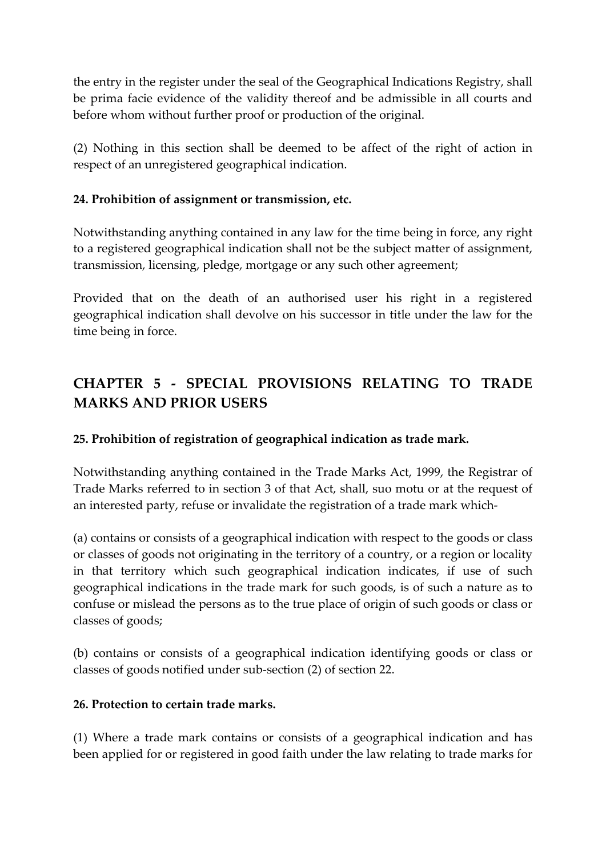the entry in the register under the seal of the Geographical Indications Registry, shall be prima facie evidence of the validity thereof and be admissible in all courts and before whom without further proof or production of the original.

(2) Nothing in this section shall be deemed to be affect of the right of action in respect of an unregistered geographical indication.

# **24. Prohibition of assignment or transmission, etc.**

Notwithstanding anything contained in any law for the time being in force, any right to a registered geographical indication shall not be the subject matter of assignment, transmission, licensing, pledge, mortgage or any such other agreement;

Provided that on the death of an authorised user his right in a registered geographical indication shall devolve on his successor in title under the law for the time being in force.

# **CHAPTER 5 - SPECIAL PROVISIONS RELATING TO TRADE MARKS AND PRIOR USERS**

# **25. Prohibition of registration of geographical indication as trade mark.**

Notwithstanding anything contained in the Trade Marks Act, 1999, the Registrar of Trade Marks referred to in section 3 of that Act, shall, suo motu or at the request of an interested party, refuse or invalidate the registration of a trade mark which-

(a) contains or consists of a geographical indication with respect to the goods or class or classes of goods not originating in the territory of a country, or a region or locality in that territory which such geographical indication indicates, if use of such geographical indications in the trade mark for such goods, is of such a nature as to confuse or mislead the persons as to the true place of origin of such goods or class or classes of goods;

(b) contains or consists of a geographical indication identifying goods or class or classes of goods notified under sub-section (2) of section 22.

#### **26. Protection to certain trade marks.**

(1) Where a trade mark contains or consists of a geographical indication and has been applied for or registered in good faith under the law relating to trade marks for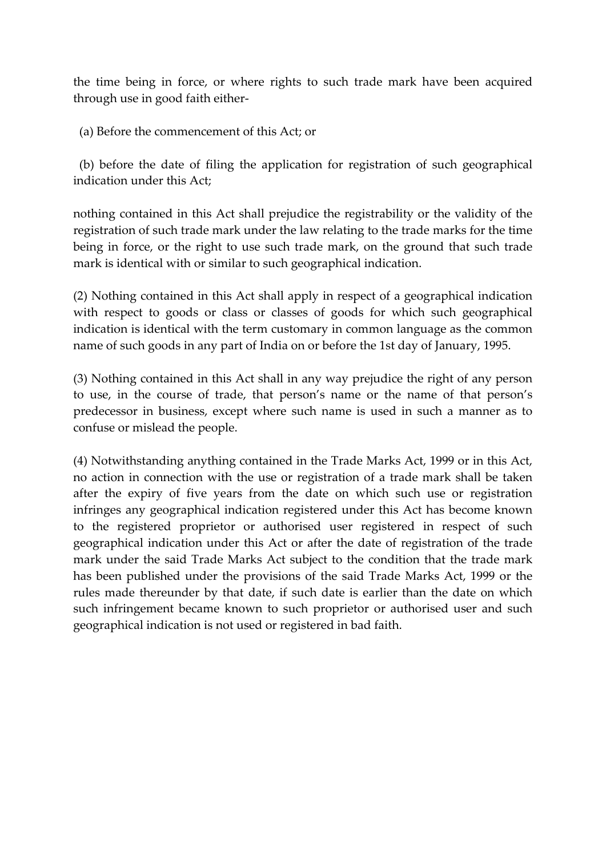the time being in force, or where rights to such trade mark have been acquired through use in good faith either-

(a) Before the commencement of this Act; or

 (b) before the date of filing the application for registration of such geographical indication under this Act;

nothing contained in this Act shall prejudice the registrability or the validity of the registration of such trade mark under the law relating to the trade marks for the time being in force, or the right to use such trade mark, on the ground that such trade mark is identical with or similar to such geographical indication.

(2) Nothing contained in this Act shall apply in respect of a geographical indication with respect to goods or class or classes of goods for which such geographical indication is identical with the term customary in common language as the common name of such goods in any part of India on or before the 1st day of January, 1995.

(3) Nothing contained in this Act shall in any way prejudice the right of any person to use, in the course of trade, that person's name or the name of that person's predecessor in business, except where such name is used in such a manner as to confuse or mislead the people.

(4) Notwithstanding anything contained in the Trade Marks Act, 1999 or in this Act, no action in connection with the use or registration of a trade mark shall be taken after the expiry of five years from the date on which such use or registration infringes any geographical indication registered under this Act has become known to the registered proprietor or authorised user registered in respect of such geographical indication under this Act or after the date of registration of the trade mark under the said Trade Marks Act subject to the condition that the trade mark has been published under the provisions of the said Trade Marks Act, 1999 or the rules made thereunder by that date, if such date is earlier than the date on which such infringement became known to such proprietor or authorised user and such geographical indication is not used or registered in bad faith.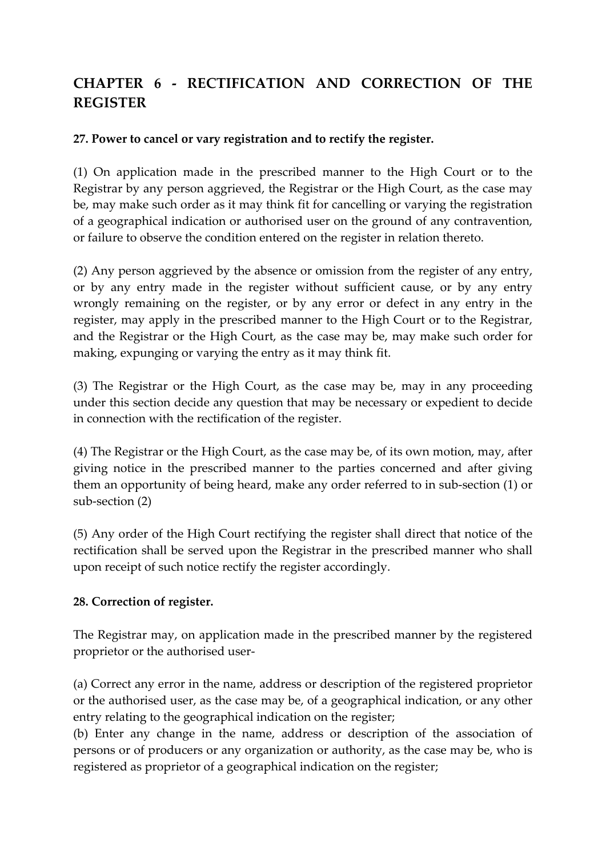# **CHAPTER 6 - RECTIFICATION AND CORRECTION OF THE REGISTER**

### **27. Power to cancel or vary registration and to rectify the register.**

(1) On application made in the prescribed manner to the High Court or to the Registrar by any person aggrieved, the Registrar or the High Court, as the case may be, may make such order as it may think fit for cancelling or varying the registration of a geographical indication or authorised user on the ground of any contravention, or failure to observe the condition entered on the register in relation thereto.

(2) Any person aggrieved by the absence or omission from the register of any entry, or by any entry made in the register without sufficient cause, or by any entry wrongly remaining on the register, or by any error or defect in any entry in the register, may apply in the prescribed manner to the High Court or to the Registrar, and the Registrar or the High Court, as the case may be, may make such order for making, expunging or varying the entry as it may think fit.

(3) The Registrar or the High Court, as the case may be, may in any proceeding under this section decide any question that may be necessary or expedient to decide in connection with the rectification of the register.

(4) The Registrar or the High Court, as the case may be, of its own motion, may, after giving notice in the prescribed manner to the parties concerned and after giving them an opportunity of being heard, make any order referred to in sub-section (1) or sub-section (2)

(5) Any order of the High Court rectifying the register shall direct that notice of the rectification shall be served upon the Registrar in the prescribed manner who shall upon receipt of such notice rectify the register accordingly.

# **28. Correction of register.**

The Registrar may, on application made in the prescribed manner by the registered proprietor or the authorised user-

(a) Correct any error in the name, address or description of the registered proprietor or the authorised user, as the case may be, of a geographical indication, or any other entry relating to the geographical indication on the register;

(b) Enter any change in the name, address or description of the association of persons or of producers or any organization or authority, as the case may be, who is registered as proprietor of a geographical indication on the register;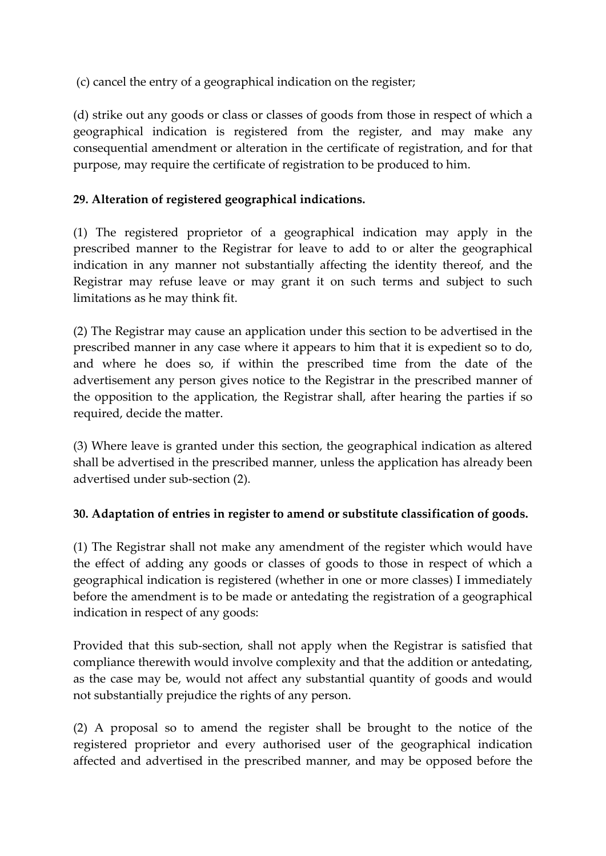(c) cancel the entry of a geographical indication on the register;

(d) strike out any goods or class or classes of goods from those in respect of which a geographical indication is registered from the register, and may make any consequential amendment or alteration in the certificate of registration, and for that purpose, may require the certificate of registration to be produced to him.

# **29. Alteration of registered geographical indications.**

(1) The registered proprietor of a geographical indication may apply in the prescribed manner to the Registrar for leave to add to or alter the geographical indication in any manner not substantially affecting the identity thereof, and the Registrar may refuse leave or may grant it on such terms and subject to such limitations as he may think fit.

(2) The Registrar may cause an application under this section to be advertised in the prescribed manner in any case where it appears to him that it is expedient so to do, and where he does so, if within the prescribed time from the date of the advertisement any person gives notice to the Registrar in the prescribed manner of the opposition to the application, the Registrar shall, after hearing the parties if so required, decide the matter.

(3) Where leave is granted under this section, the geographical indication as altered shall be advertised in the prescribed manner, unless the application has already been advertised under sub-section (2).

# **30. Adaptation of entries in register to amend or substitute classification of goods.**

(1) The Registrar shall not make any amendment of the register which would have the effect of adding any goods or classes of goods to those in respect of which a geographical indication is registered (whether in one or more classes) I immediately before the amendment is to be made or antedating the registration of a geographical indication in respect of any goods:

Provided that this sub-section, shall not apply when the Registrar is satisfied that compliance therewith would involve complexity and that the addition or antedating, as the case may be, would not affect any substantial quantity of goods and would not substantially prejudice the rights of any person.

(2) A proposal so to amend the register shall be brought to the notice of the registered proprietor and every authorised user of the geographical indication affected and advertised in the prescribed manner, and may be opposed before the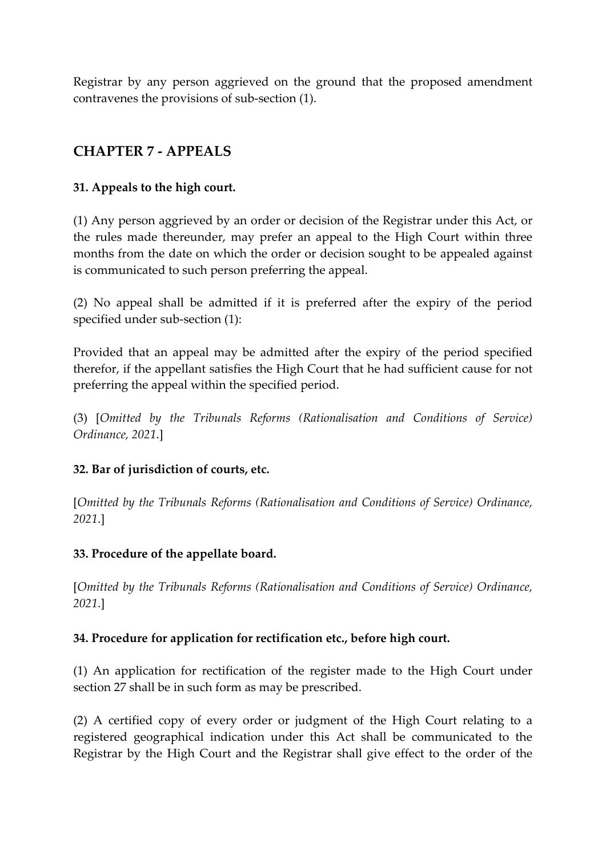Registrar by any person aggrieved on the ground that the proposed amendment contravenes the provisions of sub-section (1).

# **CHAPTER 7 - APPEALS**

## **31. Appeals to the high court.**

(1) Any person aggrieved by an order or decision of the Registrar under this Act, or the rules made thereunder, may prefer an appeal to the High Court within three months from the date on which the order or decision sought to be appealed against is communicated to such person preferring the appeal.

(2) No appeal shall be admitted if it is preferred after the expiry of the period specified under sub-section (1):

Provided that an appeal may be admitted after the expiry of the period specified therefor, if the appellant satisfies the High Court that he had sufficient cause for not preferring the appeal within the specified period.

(3) [*Omitted by the Tribunals Reforms (Rationalisation and Conditions of Service) Ordinance, 2021*.]

#### **32. Bar of jurisdiction of courts, etc.**

[*Omitted by the Tribunals Reforms (Rationalisation and Conditions of Service) Ordinance, 2021*.]

#### **33. Procedure of the appellate board.**

[*Omitted by the Tribunals Reforms (Rationalisation and Conditions of Service) Ordinance, 2021*.]

#### **34. Procedure for application for rectification etc., before high court.**

(1) An application for rectification of the register made to the High Court under section 27 shall be in such form as may be prescribed.

(2) A certified copy of every order or judgment of the High Court relating to a registered geographical indication under this Act shall be communicated to the Registrar by the High Court and the Registrar shall give effect to the order of the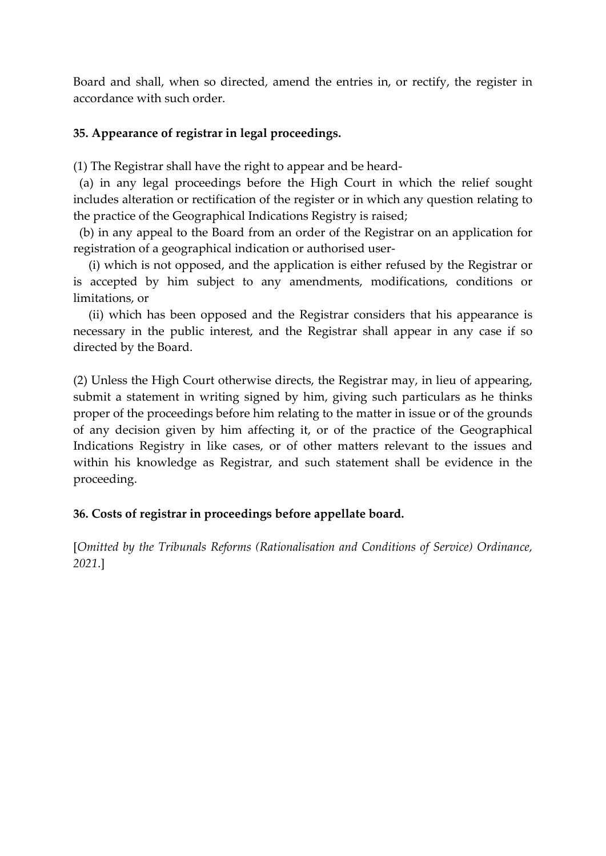Board and shall, when so directed, amend the entries in, or rectify, the register in accordance with such order.

### **35. Appearance of registrar in legal proceedings.**

(1) The Registrar shall have the right to appear and be heard-

 (a) in any legal proceedings before the High Court in which the relief sought includes alteration or rectification of the register or in which any question relating to the practice of the Geographical Indications Registry is raised;

 (b) in any appeal to the Board from an order of the Registrar on an application for registration of a geographical indication or authorised user-

 (i) which is not opposed, and the application is either refused by the Registrar or is accepted by him subject to any amendments, modifications, conditions or limitations, or

 (ii) which has been opposed and the Registrar considers that his appearance is necessary in the public interest, and the Registrar shall appear in any case if so directed by the Board.

(2) Unless the High Court otherwise directs, the Registrar may, in lieu of appearing, submit a statement in writing signed by him, giving such particulars as he thinks proper of the proceedings before him relating to the matter in issue or of the grounds of any decision given by him affecting it, or of the practice of the Geographical Indications Registry in like cases, or of other matters relevant to the issues and within his knowledge as Registrar, and such statement shall be evidence in the proceeding.

#### **36. Costs of registrar in proceedings before appellate board.**

[*Omitted by the Tribunals Reforms (Rationalisation and Conditions of Service) Ordinance, 2021*.]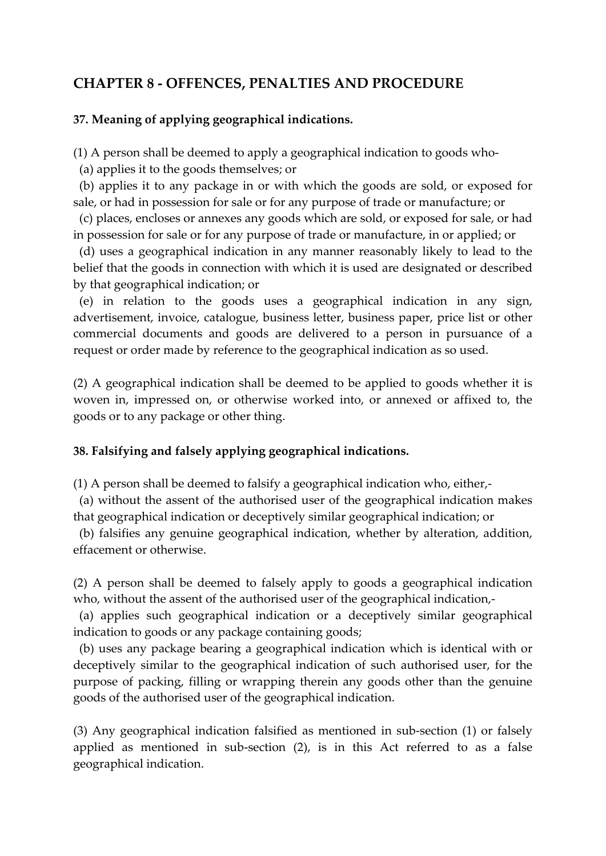# **CHAPTER 8 - OFFENCES, PENALTIES AND PROCEDURE**

#### **37. Meaning of applying geographical indications.**

(1) A person shall be deemed to apply a geographical indication to goods who-

(a) applies it to the goods themselves; or

 (b) applies it to any package in or with which the goods are sold, or exposed for sale, or had in possession for sale or for any purpose of trade or manufacture; or

 (c) places, encloses or annexes any goods which are sold, or exposed for sale, or had in possession for sale or for any purpose of trade or manufacture, in or applied; or

 (d) uses a geographical indication in any manner reasonably likely to lead to the belief that the goods in connection with which it is used are designated or described by that geographical indication; or

 (e) in relation to the goods uses a geographical indication in any sign, advertisement, invoice, catalogue, business letter, business paper, price list or other commercial documents and goods are delivered to a person in pursuance of a request or order made by reference to the geographical indication as so used.

(2) A geographical indication shall be deemed to be applied to goods whether it is woven in, impressed on, or otherwise worked into, or annexed or affixed to, the goods or to any package or other thing.

#### **38. Falsifying and falsely applying geographical indications.**

(1) A person shall be deemed to falsify a geographical indication who, either,-

 (a) without the assent of the authorised user of the geographical indication makes that geographical indication or deceptively similar geographical indication; or

 (b) falsifies any genuine geographical indication, whether by alteration, addition, effacement or otherwise.

(2) A person shall be deemed to falsely apply to goods a geographical indication who, without the assent of the authorised user of the geographical indication,-

 (a) applies such geographical indication or a deceptively similar geographical indication to goods or any package containing goods;

 (b) uses any package bearing a geographical indication which is identical with or deceptively similar to the geographical indication of such authorised user, for the purpose of packing, filling or wrapping therein any goods other than the genuine goods of the authorised user of the geographical indication.

(3) Any geographical indication falsified as mentioned in sub-section (1) or falsely applied as mentioned in sub-section (2), is in this Act referred to as a false geographical indication.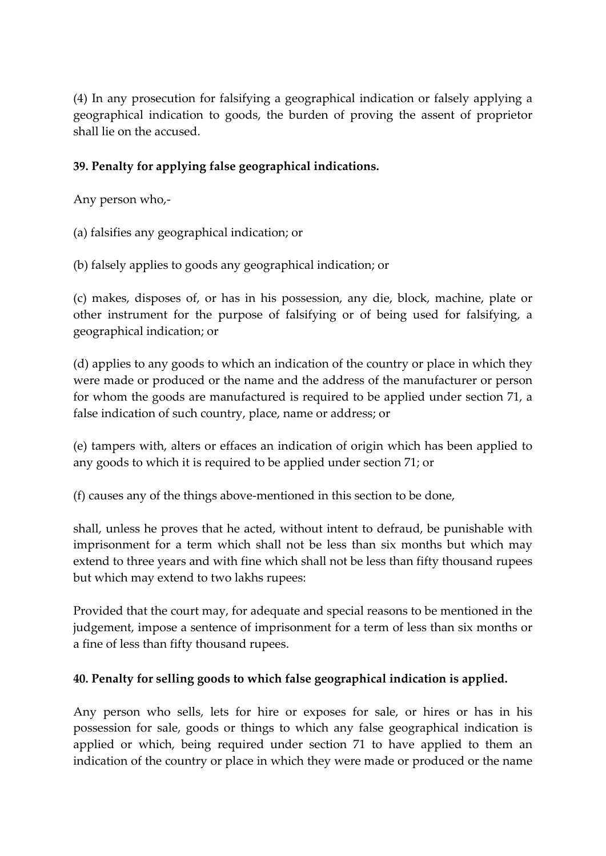(4) In any prosecution for falsifying a geographical indication or falsely applying a geographical indication to goods, the burden of proving the assent of proprietor shall lie on the accused.

## **39. Penalty for applying false geographical indications.**

Any person who,-

(a) falsifies any geographical indication; or

(b) falsely applies to goods any geographical indication; or

(c) makes, disposes of, or has in his possession, any die, block, machine, plate or other instrument for the purpose of falsifying or of being used for falsifying, a geographical indication; or

(d) applies to any goods to which an indication of the country or place in which they were made or produced or the name and the address of the manufacturer or person for whom the goods are manufactured is required to be applied under section 71, a false indication of such country, place, name or address; or

(e) tampers with, alters or effaces an indication of origin which has been applied to any goods to which it is required to be applied under section 71; or

(f) causes any of the things above-mentioned in this section to be done,

shall, unless he proves that he acted, without intent to defraud, be punishable with imprisonment for a term which shall not be less than six months but which may extend to three years and with fine which shall not be less than fifty thousand rupees but which may extend to two lakhs rupees:

Provided that the court may, for adequate and special reasons to be mentioned in the judgement, impose a sentence of imprisonment for a term of less than six months or a fine of less than fifty thousand rupees.

#### **40. Penalty for selling goods to which false geographical indication is applied.**

Any person who sells, lets for hire or exposes for sale, or hires or has in his possession for sale, goods or things to which any false geographical indication is applied or which, being required under section 71 to have applied to them an indication of the country or place in which they were made or produced or the name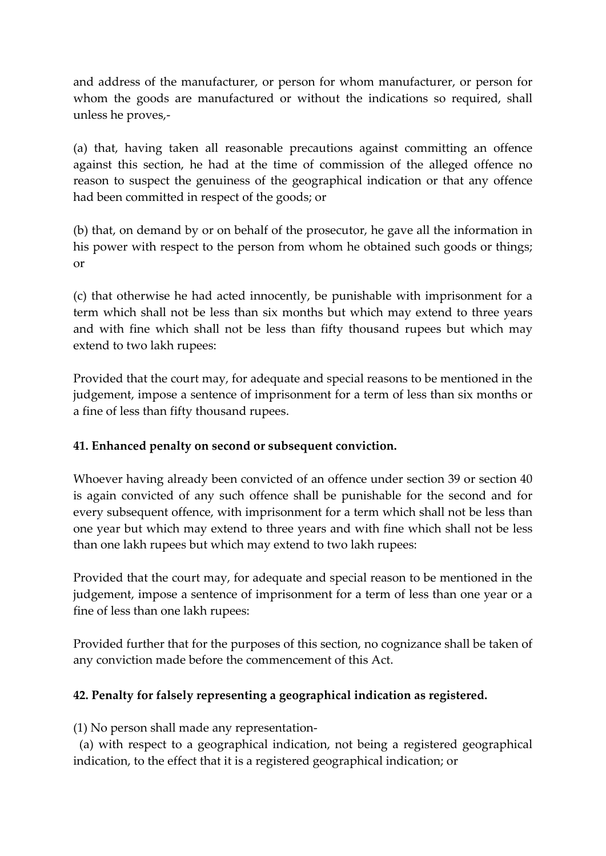and address of the manufacturer, or person for whom manufacturer, or person for whom the goods are manufactured or without the indications so required, shall unless he proves,-

(a) that, having taken all reasonable precautions against committing an offence against this section, he had at the time of commission of the alleged offence no reason to suspect the genuiness of the geographical indication or that any offence had been committed in respect of the goods; or

(b) that, on demand by or on behalf of the prosecutor, he gave all the information in his power with respect to the person from whom he obtained such goods or things; or

(c) that otherwise he had acted innocently, be punishable with imprisonment for a term which shall not be less than six months but which may extend to three years and with fine which shall not be less than fifty thousand rupees but which may extend to two lakh rupees:

Provided that the court may, for adequate and special reasons to be mentioned in the judgement, impose a sentence of imprisonment for a term of less than six months or a fine of less than fifty thousand rupees.

# **41. Enhanced penalty on second or subsequent conviction.**

Whoever having already been convicted of an offence under section 39 or section 40 is again convicted of any such offence shall be punishable for the second and for every subsequent offence, with imprisonment for a term which shall not be less than one year but which may extend to three years and with fine which shall not be less than one lakh rupees but which may extend to two lakh rupees:

Provided that the court may, for adequate and special reason to be mentioned in the judgement, impose a sentence of imprisonment for a term of less than one year or a fine of less than one lakh rupees:

Provided further that for the purposes of this section, no cognizance shall be taken of any conviction made before the commencement of this Act.

# **42. Penalty for falsely representing a geographical indication as registered.**

(1) No person shall made any representation-

 (a) with respect to a geographical indication, not being a registered geographical indication, to the effect that it is a registered geographical indication; or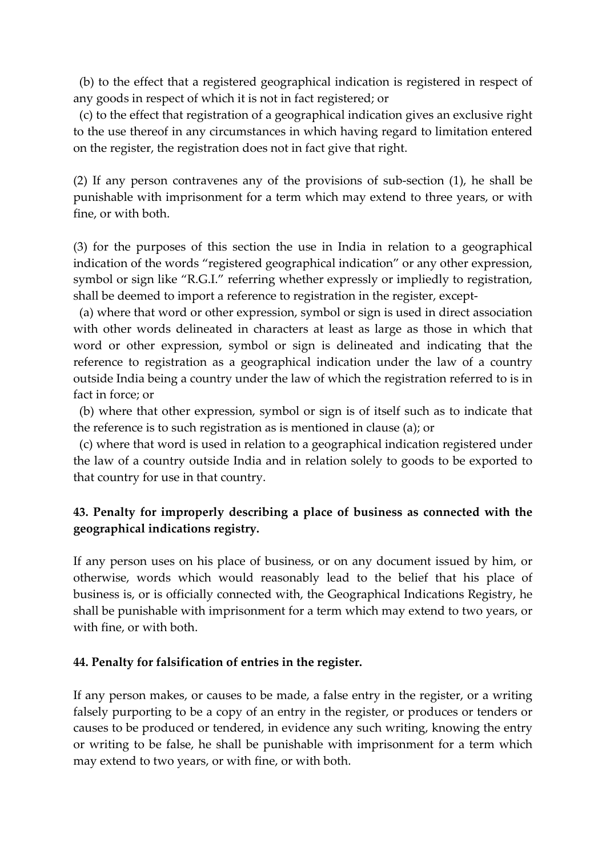(b) to the effect that a registered geographical indication is registered in respect of any goods in respect of which it is not in fact registered; or

 (c) to the effect that registration of a geographical indication gives an exclusive right to the use thereof in any circumstances in which having regard to limitation entered on the register, the registration does not in fact give that right.

(2) If any person contravenes any of the provisions of sub-section (1), he shall be punishable with imprisonment for a term which may extend to three years, or with fine, or with both.

(3) for the purposes of this section the use in India in relation to a geographical indication of the words "registered geographical indication" or any other expression, symbol or sign like "R.G.I." referring whether expressly or impliedly to registration, shall be deemed to import a reference to registration in the register, except-

 (a) where that word or other expression, symbol or sign is used in direct association with other words delineated in characters at least as large as those in which that word or other expression, symbol or sign is delineated and indicating that the reference to registration as a geographical indication under the law of a country outside India being a country under the law of which the registration referred to is in fact in force; or

 (b) where that other expression, symbol or sign is of itself such as to indicate that the reference is to such registration as is mentioned in clause (a); or

 (c) where that word is used in relation to a geographical indication registered under the law of a country outside India and in relation solely to goods to be exported to that country for use in that country.

# **43. Penalty for improperly describing a place of business as connected with the geographical indications registry.**

If any person uses on his place of business, or on any document issued by him, or otherwise, words which would reasonably lead to the belief that his place of business is, or is officially connected with, the Geographical Indications Registry, he shall be punishable with imprisonment for a term which may extend to two years, or with fine, or with both.

#### **44. Penalty for falsification of entries in the register.**

If any person makes, or causes to be made, a false entry in the register, or a writing falsely purporting to be a copy of an entry in the register, or produces or tenders or causes to be produced or tendered, in evidence any such writing, knowing the entry or writing to be false, he shall be punishable with imprisonment for a term which may extend to two years, or with fine, or with both.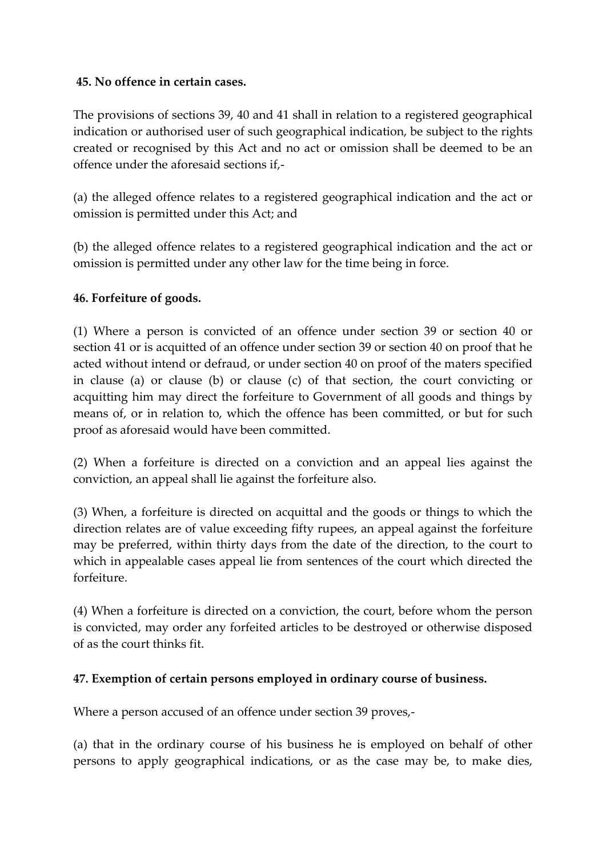#### **45. No offence in certain cases.**

The provisions of sections 39, 40 and 41 shall in relation to a registered geographical indication or authorised user of such geographical indication, be subject to the rights created or recognised by this Act and no act or omission shall be deemed to be an offence under the aforesaid sections if,-

(a) the alleged offence relates to a registered geographical indication and the act or omission is permitted under this Act; and

(b) the alleged offence relates to a registered geographical indication and the act or omission is permitted under any other law for the time being in force.

#### **46. Forfeiture of goods.**

(1) Where a person is convicted of an offence under section 39 or section 40 or section 41 or is acquitted of an offence under section 39 or section 40 on proof that he acted without intend or defraud, or under section 40 on proof of the maters specified in clause (a) or clause (b) or clause (c) of that section, the court convicting or acquitting him may direct the forfeiture to Government of all goods and things by means of, or in relation to, which the offence has been committed, or but for such proof as aforesaid would have been committed.

(2) When a forfeiture is directed on a conviction and an appeal lies against the conviction, an appeal shall lie against the forfeiture also.

(3) When, a forfeiture is directed on acquittal and the goods or things to which the direction relates are of value exceeding fifty rupees, an appeal against the forfeiture may be preferred, within thirty days from the date of the direction, to the court to which in appealable cases appeal lie from sentences of the court which directed the forfeiture.

(4) When a forfeiture is directed on a conviction, the court, before whom the person is convicted, may order any forfeited articles to be destroyed or otherwise disposed of as the court thinks fit.

#### **47. Exemption of certain persons employed in ordinary course of business.**

Where a person accused of an offence under section 39 proves,-

(a) that in the ordinary course of his business he is employed on behalf of other persons to apply geographical indications, or as the case may be, to make dies,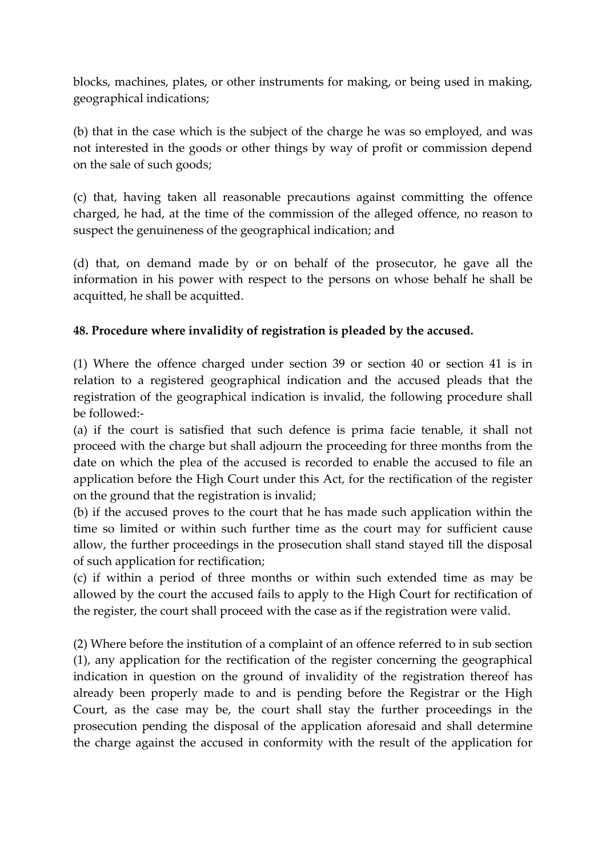blocks, machines, plates, or other instruments for making, or being used in making, geographical indications;

(b) that in the case which is the subject of the charge he was so employed, and was not interested in the goods or other things by way of profit or commission depend on the sale of such goods;

(c) that, having taken all reasonable precautions against committing the offence charged, he had, at the time of the commission of the alleged offence, no reason to suspect the genuineness of the geographical indication; and

(d) that, on demand made by or on behalf of the prosecutor, he gave all the information in his power with respect to the persons on whose behalf he shall be acquitted, he shall be acquitted.

# **48. Procedure where invalidity of registration is pleaded by the accused.**

(1) Where the offence charged under section 39 or section 40 or section 41 is in relation to a registered geographical indication and the accused pleads that the registration of the geographical indication is invalid, the following procedure shall be followed:-

(a) if the court is satisfied that such defence is prima facie tenable, it shall not proceed with the charge but shall adjourn the proceeding for three months from the date on which the plea of the accused is recorded to enable the accused to file an application before the High Court under this Act, for the rectification of the register on the ground that the registration is invalid;

(b) if the accused proves to the court that he has made such application within the time so limited or within such further time as the court may for sufficient cause allow, the further proceedings in the prosecution shall stand stayed till the disposal of such application for rectification;

(c) if within a period of three months or within such extended time as may be allowed by the court the accused fails to apply to the High Court for rectification of the register, the court shall proceed with the case as if the registration were valid.

(2) Where before the institution of a complaint of an offence referred to in sub section (1), any application for the rectification of the register concerning the geographical indication in question on the ground of invalidity of the registration thereof has already been properly made to and is pending before the Registrar or the High Court, as the case may be, the court shall stay the further proceedings in the prosecution pending the disposal of the application aforesaid and shall determine the charge against the accused in conformity with the result of the application for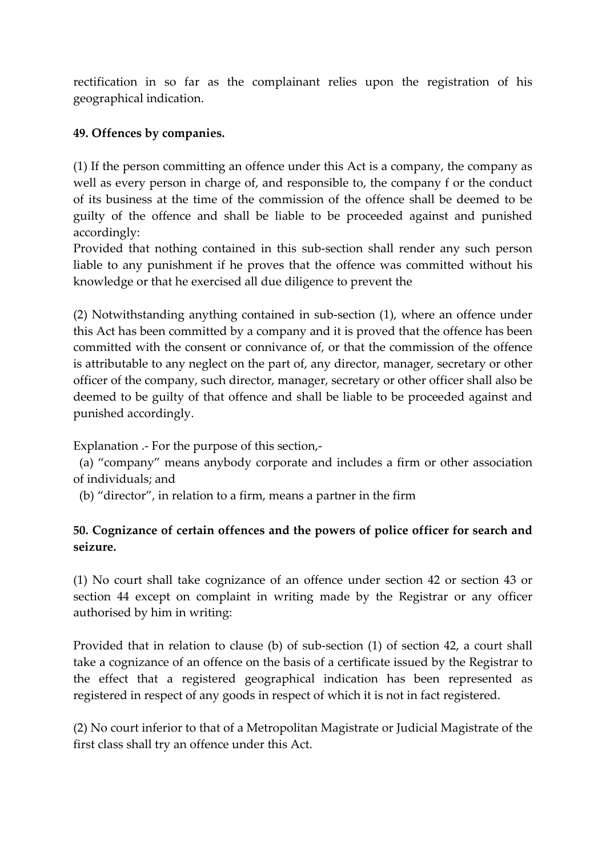rectification in so far as the complainant relies upon the registration of his geographical indication.

## **49. Offences by companies.**

(1) If the person committing an offence under this Act is a company, the company as well as every person in charge of, and responsible to, the company f or the conduct of its business at the time of the commission of the offence shall be deemed to be guilty of the offence and shall be liable to be proceeded against and punished accordingly:

Provided that nothing contained in this sub-section shall render any such person liable to any punishment if he proves that the offence was committed without his knowledge or that he exercised all due diligence to prevent the

(2) Notwithstanding anything contained in sub-section (1), where an offence under this Act has been committed by a company and it is proved that the offence has been committed with the consent or connivance of, or that the commission of the offence is attributable to any neglect on the part of, any director, manager, secretary or other officer of the company, such director, manager, secretary or other officer shall also be deemed to be guilty of that offence and shall be liable to be proceeded against and punished accordingly.

Explanation .- For the purpose of this section,-

 (a) "company" means anybody corporate and includes a firm or other association of individuals; and

(b) "director", in relation to a firm, means a partner in the firm

# **50. Cognizance of certain offences and the powers of police officer for search and seizure.**

(1) No court shall take cognizance of an offence under section 42 or section 43 or section 44 except on complaint in writing made by the Registrar or any officer authorised by him in writing:

Provided that in relation to clause (b) of sub-section (1) of section 42, a court shall take a cognizance of an offence on the basis of a certificate issued by the Registrar to the effect that a registered geographical indication has been represented as registered in respect of any goods in respect of which it is not in fact registered.

(2) No court inferior to that of a Metropolitan Magistrate or Judicial Magistrate of the first class shall try an offence under this Act.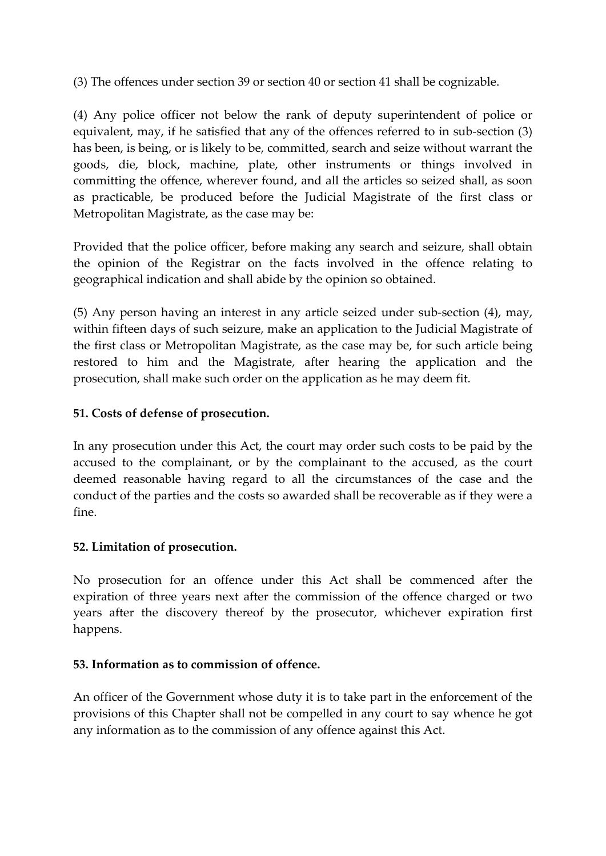(3) The offences under section 39 or section 40 or section 41 shall be cognizable.

(4) Any police officer not below the rank of deputy superintendent of police or equivalent, may, if he satisfied that any of the offences referred to in sub-section (3) has been, is being, or is likely to be, committed, search and seize without warrant the goods, die, block, machine, plate, other instruments or things involved in committing the offence, wherever found, and all the articles so seized shall, as soon as practicable, be produced before the Judicial Magistrate of the first class or Metropolitan Magistrate, as the case may be:

Provided that the police officer, before making any search and seizure, shall obtain the opinion of the Registrar on the facts involved in the offence relating to geographical indication and shall abide by the opinion so obtained.

(5) Any person having an interest in any article seized under sub-section (4), may, within fifteen days of such seizure, make an application to the Judicial Magistrate of the first class or Metropolitan Magistrate, as the case may be, for such article being restored to him and the Magistrate, after hearing the application and the prosecution, shall make such order on the application as he may deem fit.

#### **51. Costs of defense of prosecution.**

In any prosecution under this Act, the court may order such costs to be paid by the accused to the complainant, or by the complainant to the accused, as the court deemed reasonable having regard to all the circumstances of the case and the conduct of the parties and the costs so awarded shall be recoverable as if they were a fine.

# **52. Limitation of prosecution.**

No prosecution for an offence under this Act shall be commenced after the expiration of three years next after the commission of the offence charged or two years after the discovery thereof by the prosecutor, whichever expiration first happens.

#### **53. Information as to commission of offence.**

An officer of the Government whose duty it is to take part in the enforcement of the provisions of this Chapter shall not be compelled in any court to say whence he got any information as to the commission of any offence against this Act.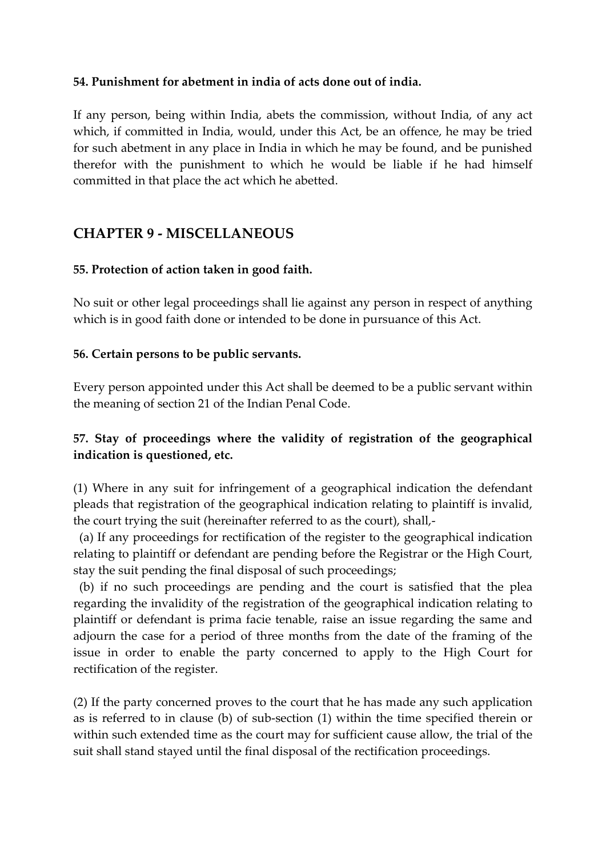#### **54. Punishment for abetment in india of acts done out of india.**

If any person, being within India, abets the commission, without India, of any act which, if committed in India, would, under this Act, be an offence, he may be tried for such abetment in any place in India in which he may be found, and be punished therefor with the punishment to which he would be liable if he had himself committed in that place the act which he abetted.

# **CHAPTER 9 - MISCELLANEOUS**

#### **55. Protection of action taken in good faith.**

No suit or other legal proceedings shall lie against any person in respect of anything which is in good faith done or intended to be done in pursuance of this Act.

#### **56. Certain persons to be public servants.**

Every person appointed under this Act shall be deemed to be a public servant within the meaning of section 21 of the Indian Penal Code.

## **57. Stay of proceedings where the validity of registration of the geographical indication is questioned, etc.**

(1) Where in any suit for infringement of a geographical indication the defendant pleads that registration of the geographical indication relating to plaintiff is invalid, the court trying the suit (hereinafter referred to as the court), shall,-

 (a) If any proceedings for rectification of the register to the geographical indication relating to plaintiff or defendant are pending before the Registrar or the High Court, stay the suit pending the final disposal of such proceedings;

 (b) if no such proceedings are pending and the court is satisfied that the plea regarding the invalidity of the registration of the geographical indication relating to plaintiff or defendant is prima facie tenable, raise an issue regarding the same and adjourn the case for a period of three months from the date of the framing of the issue in order to enable the party concerned to apply to the High Court for rectification of the register.

(2) If the party concerned proves to the court that he has made any such application as is referred to in clause (b) of sub-section (1) within the time specified therein or within such extended time as the court may for sufficient cause allow, the trial of the suit shall stand stayed until the final disposal of the rectification proceedings.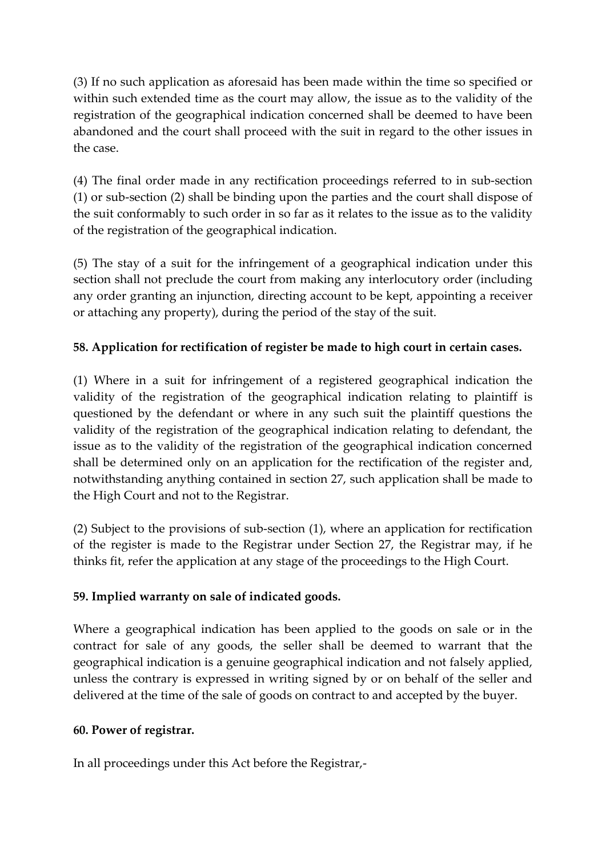(3) If no such application as aforesaid has been made within the time so specified or within such extended time as the court may allow, the issue as to the validity of the registration of the geographical indication concerned shall be deemed to have been abandoned and the court shall proceed with the suit in regard to the other issues in the case.

(4) The final order made in any rectification proceedings referred to in sub-section (1) or sub-section (2) shall be binding upon the parties and the court shall dispose of the suit conformably to such order in so far as it relates to the issue as to the validity of the registration of the geographical indication.

(5) The stay of a suit for the infringement of a geographical indication under this section shall not preclude the court from making any interlocutory order (including any order granting an injunction, directing account to be kept, appointing a receiver or attaching any property), during the period of the stay of the suit.

# **58. Application for rectification of register be made to high court in certain cases.**

(1) Where in a suit for infringement of a registered geographical indication the validity of the registration of the geographical indication relating to plaintiff is questioned by the defendant or where in any such suit the plaintiff questions the validity of the registration of the geographical indication relating to defendant, the issue as to the validity of the registration of the geographical indication concerned shall be determined only on an application for the rectification of the register and, notwithstanding anything contained in section 27, such application shall be made to the High Court and not to the Registrar.

(2) Subject to the provisions of sub-section (1), where an application for rectification of the register is made to the Registrar under Section 27, the Registrar may, if he thinks fit, refer the application at any stage of the proceedings to the High Court.

#### **59. Implied warranty on sale of indicated goods.**

Where a geographical indication has been applied to the goods on sale or in the contract for sale of any goods, the seller shall be deemed to warrant that the geographical indication is a genuine geographical indication and not falsely applied, unless the contrary is expressed in writing signed by or on behalf of the seller and delivered at the time of the sale of goods on contract to and accepted by the buyer.

#### **60. Power of registrar.**

In all proceedings under this Act before the Registrar,-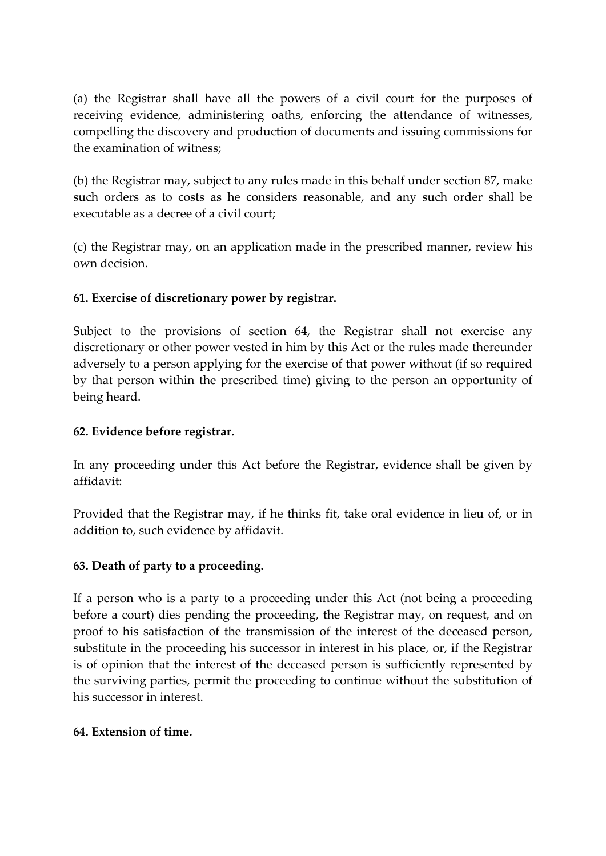(a) the Registrar shall have all the powers of a civil court for the purposes of receiving evidence, administering oaths, enforcing the attendance of witnesses, compelling the discovery and production of documents and issuing commissions for the examination of witness;

(b) the Registrar may, subject to any rules made in this behalf under section 87, make such orders as to costs as he considers reasonable, and any such order shall be executable as a decree of a civil court;

(c) the Registrar may, on an application made in the prescribed manner, review his own decision.

## **61. Exercise of discretionary power by registrar.**

Subject to the provisions of section 64, the Registrar shall not exercise any discretionary or other power vested in him by this Act or the rules made thereunder adversely to a person applying for the exercise of that power without (if so required by that person within the prescribed time) giving to the person an opportunity of being heard.

#### **62. Evidence before registrar.**

In any proceeding under this Act before the Registrar, evidence shall be given by affidavit:

Provided that the Registrar may, if he thinks fit, take oral evidence in lieu of, or in addition to, such evidence by affidavit.

#### **63. Death of party to a proceeding.**

If a person who is a party to a proceeding under this Act (not being a proceeding before a court) dies pending the proceeding, the Registrar may, on request, and on proof to his satisfaction of the transmission of the interest of the deceased person, substitute in the proceeding his successor in interest in his place, or, if the Registrar is of opinion that the interest of the deceased person is sufficiently represented by the surviving parties, permit the proceeding to continue without the substitution of his successor in interest.

#### **64. Extension of time.**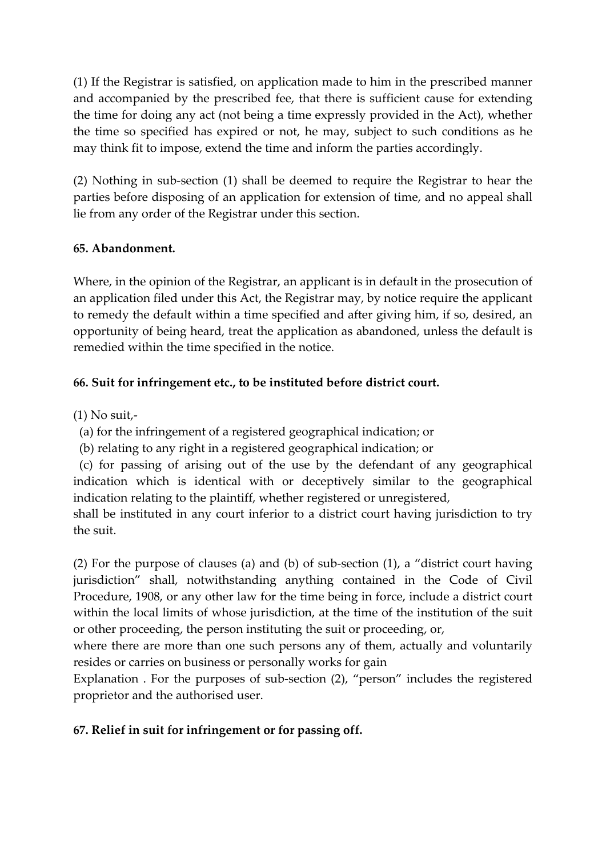(1) If the Registrar is satisfied, on application made to him in the prescribed manner and accompanied by the prescribed fee, that there is sufficient cause for extending the time for doing any act (not being a time expressly provided in the Act), whether the time so specified has expired or not, he may, subject to such conditions as he may think fit to impose, extend the time and inform the parties accordingly.

(2) Nothing in sub-section (1) shall be deemed to require the Registrar to hear the parties before disposing of an application for extension of time, and no appeal shall lie from any order of the Registrar under this section.

# **65. Abandonment.**

Where, in the opinion of the Registrar, an applicant is in default in the prosecution of an application filed under this Act, the Registrar may, by notice require the applicant to remedy the default within a time specified and after giving him, if so, desired, an opportunity of being heard, treat the application as abandoned, unless the default is remedied within the time specified in the notice.

# **66. Suit for infringement etc., to be instituted before district court.**

(1) No suit,-

(a) for the infringement of a registered geographical indication; or

(b) relating to any right in a registered geographical indication; or

 (c) for passing of arising out of the use by the defendant of any geographical indication which is identical with or deceptively similar to the geographical indication relating to the plaintiff, whether registered or unregistered,

shall be instituted in any court inferior to a district court having jurisdiction to try the suit.

(2) For the purpose of clauses (a) and (b) of sub-section (1), a "district court having jurisdiction" shall, notwithstanding anything contained in the Code of Civil Procedure, 1908, or any other law for the time being in force, include a district court within the local limits of whose jurisdiction, at the time of the institution of the suit or other proceeding, the person instituting the suit or proceeding, or,

where there are more than one such persons any of them, actually and voluntarily resides or carries on business or personally works for gain

Explanation . For the purposes of sub-section (2), "person" includes the registered proprietor and the authorised user.

# **67. Relief in suit for infringement or for passing off.**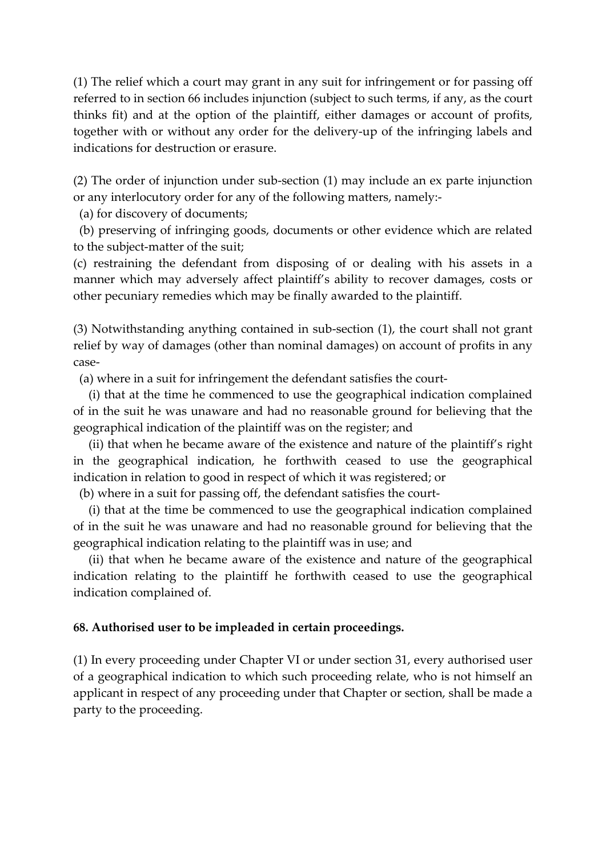(1) The relief which a court may grant in any suit for infringement or for passing off referred to in section 66 includes injunction (subject to such terms, if any, as the court thinks fit) and at the option of the plaintiff, either damages or account of profits, together with or without any order for the delivery-up of the infringing labels and indications for destruction or erasure.

(2) The order of injunction under sub-section (1) may include an ex parte injunction or any interlocutory order for any of the following matters, namely:-

(a) for discovery of documents;

 (b) preserving of infringing goods, documents or other evidence which are related to the subject-matter of the suit;

(c) restraining the defendant from disposing of or dealing with his assets in a manner which may adversely affect plaintiff's ability to recover damages, costs or other pecuniary remedies which may be finally awarded to the plaintiff.

(3) Notwithstanding anything contained in sub-section (1), the court shall not grant relief by way of damages (other than nominal damages) on account of profits in any case-

(a) where in a suit for infringement the defendant satisfies the court-

 (i) that at the time he commenced to use the geographical indication complained of in the suit he was unaware and had no reasonable ground for believing that the geographical indication of the plaintiff was on the register; and

 (ii) that when he became aware of the existence and nature of the plaintiff's right in the geographical indication, he forthwith ceased to use the geographical indication in relation to good in respect of which it was registered; or

(b) where in a suit for passing off, the defendant satisfies the court-

 (i) that at the time be commenced to use the geographical indication complained of in the suit he was unaware and had no reasonable ground for believing that the geographical indication relating to the plaintiff was in use; and

 (ii) that when he became aware of the existence and nature of the geographical indication relating to the plaintiff he forthwith ceased to use the geographical indication complained of.

#### **68. Authorised user to be impleaded in certain proceedings.**

(1) In every proceeding under Chapter VI or under section 31, every authorised user of a geographical indication to which such proceeding relate, who is not himself an applicant in respect of any proceeding under that Chapter or section, shall be made a party to the proceeding.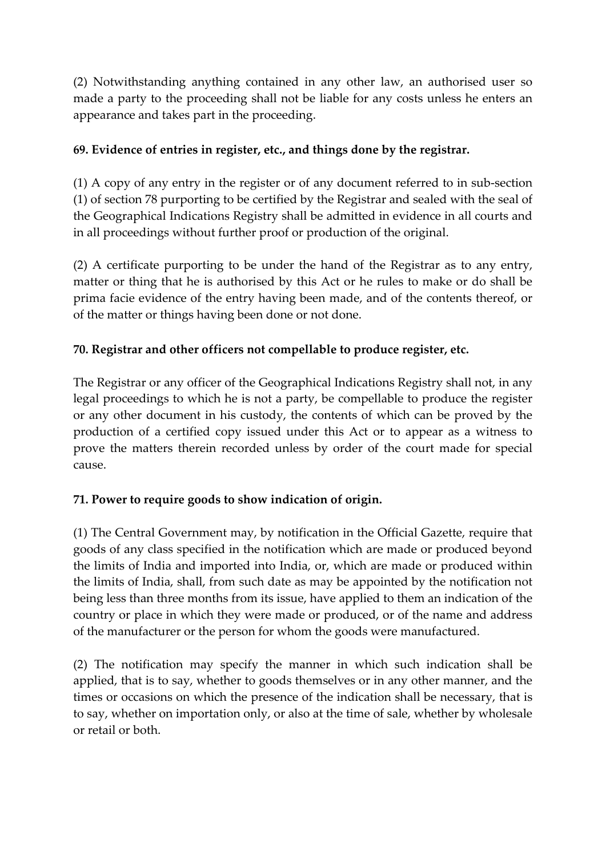(2) Notwithstanding anything contained in any other law, an authorised user so made a party to the proceeding shall not be liable for any costs unless he enters an appearance and takes part in the proceeding.

# **69. Evidence of entries in register, etc., and things done by the registrar.**

(1) A copy of any entry in the register or of any document referred to in sub-section (1) of section 78 purporting to be certified by the Registrar and sealed with the seal of the Geographical Indications Registry shall be admitted in evidence in all courts and in all proceedings without further proof or production of the original.

(2) A certificate purporting to be under the hand of the Registrar as to any entry, matter or thing that he is authorised by this Act or he rules to make or do shall be prima facie evidence of the entry having been made, and of the contents thereof, or of the matter or things having been done or not done.

## **70. Registrar and other officers not compellable to produce register, etc.**

The Registrar or any officer of the Geographical Indications Registry shall not, in any legal proceedings to which he is not a party, be compellable to produce the register or any other document in his custody, the contents of which can be proved by the production of a certified copy issued under this Act or to appear as a witness to prove the matters therein recorded unless by order of the court made for special cause.

# **71. Power to require goods to show indication of origin.**

(1) The Central Government may, by notification in the Official Gazette, require that goods of any class specified in the notification which are made or produced beyond the limits of India and imported into India, or, which are made or produced within the limits of India, shall, from such date as may be appointed by the notification not being less than three months from its issue, have applied to them an indication of the country or place in which they were made or produced, or of the name and address of the manufacturer or the person for whom the goods were manufactured.

(2) The notification may specify the manner in which such indication shall be applied, that is to say, whether to goods themselves or in any other manner, and the times or occasions on which the presence of the indication shall be necessary, that is to say, whether on importation only, or also at the time of sale, whether by wholesale or retail or both.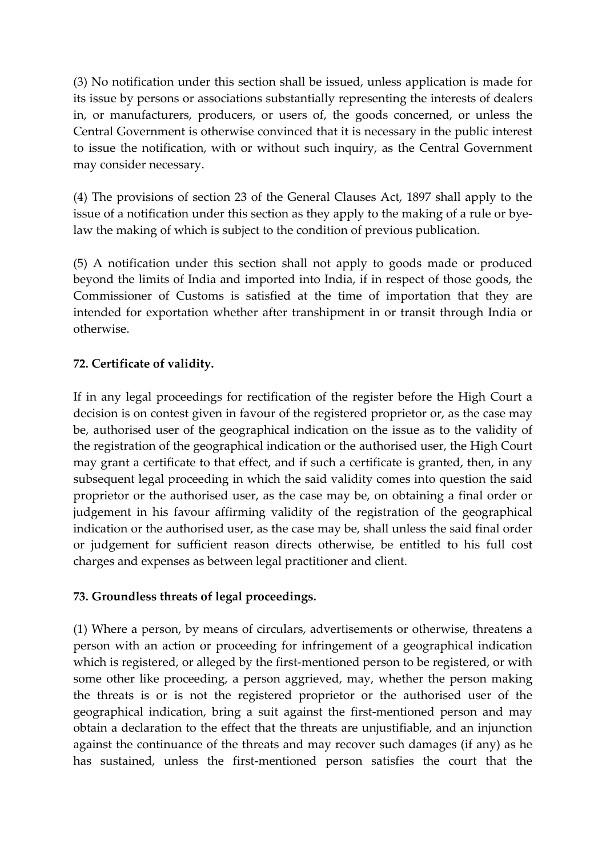(3) No notification under this section shall be issued, unless application is made for its issue by persons or associations substantially representing the interests of dealers in, or manufacturers, producers, or users of, the goods concerned, or unless the Central Government is otherwise convinced that it is necessary in the public interest to issue the notification, with or without such inquiry, as the Central Government may consider necessary.

(4) The provisions of section 23 of the General Clauses Act, 1897 shall apply to the issue of a notification under this section as they apply to the making of a rule or byelaw the making of which is subject to the condition of previous publication.

(5) A notification under this section shall not apply to goods made or produced beyond the limits of India and imported into India, if in respect of those goods, the Commissioner of Customs is satisfied at the time of importation that they are intended for exportation whether after transhipment in or transit through India or otherwise.

## **72. Certificate of validity.**

If in any legal proceedings for rectification of the register before the High Court a decision is on contest given in favour of the registered proprietor or, as the case may be, authorised user of the geographical indication on the issue as to the validity of the registration of the geographical indication or the authorised user, the High Court may grant a certificate to that effect, and if such a certificate is granted, then, in any subsequent legal proceeding in which the said validity comes into question the said proprietor or the authorised user, as the case may be, on obtaining a final order or judgement in his favour affirming validity of the registration of the geographical indication or the authorised user, as the case may be, shall unless the said final order or judgement for sufficient reason directs otherwise, be entitled to his full cost charges and expenses as between legal practitioner and client.

#### **73. Groundless threats of legal proceedings.**

(1) Where a person, by means of circulars, advertisements or otherwise, threatens a person with an action or proceeding for infringement of a geographical indication which is registered, or alleged by the first-mentioned person to be registered, or with some other like proceeding, a person aggrieved, may, whether the person making the threats is or is not the registered proprietor or the authorised user of the geographical indication, bring a suit against the first-mentioned person and may obtain a declaration to the effect that the threats are unjustifiable, and an injunction against the continuance of the threats and may recover such damages (if any) as he has sustained, unless the first-mentioned person satisfies the court that the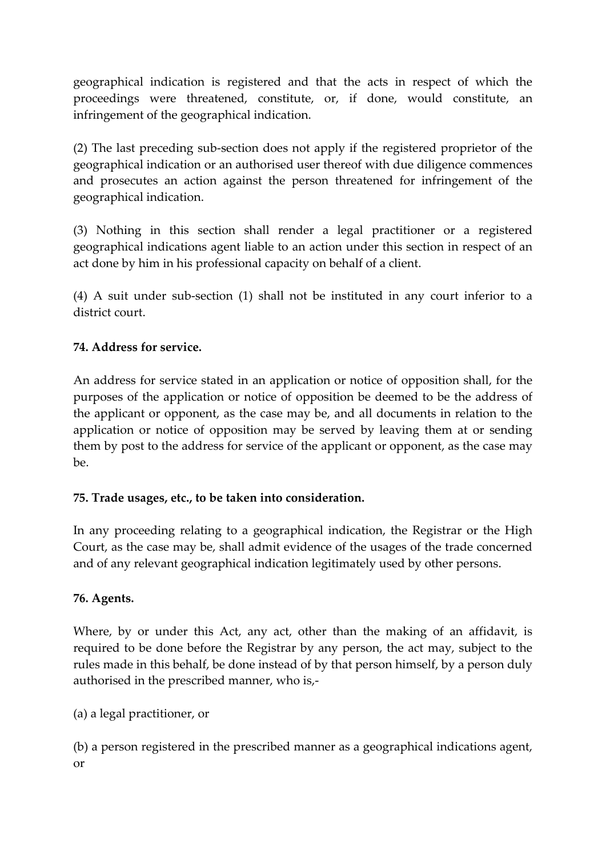geographical indication is registered and that the acts in respect of which the proceedings were threatened, constitute, or, if done, would constitute, an infringement of the geographical indication.

(2) The last preceding sub-section does not apply if the registered proprietor of the geographical indication or an authorised user thereof with due diligence commences and prosecutes an action against the person threatened for infringement of the geographical indication.

(3) Nothing in this section shall render a legal practitioner or a registered geographical indications agent liable to an action under this section in respect of an act done by him in his professional capacity on behalf of a client.

(4) A suit under sub-section (1) shall not be instituted in any court inferior to a district court.

## **74. Address for service.**

An address for service stated in an application or notice of opposition shall, for the purposes of the application or notice of opposition be deemed to be the address of the applicant or opponent, as the case may be, and all documents in relation to the application or notice of opposition may be served by leaving them at or sending them by post to the address for service of the applicant or opponent, as the case may be.

#### **75. Trade usages, etc., to be taken into consideration.**

In any proceeding relating to a geographical indication, the Registrar or the High Court, as the case may be, shall admit evidence of the usages of the trade concerned and of any relevant geographical indication legitimately used by other persons.

#### **76. Agents.**

Where, by or under this Act, any act, other than the making of an affidavit, is required to be done before the Registrar by any person, the act may, subject to the rules made in this behalf, be done instead of by that person himself, by a person duly authorised in the prescribed manner, who is,-

(a) a legal practitioner, or

(b) a person registered in the prescribed manner as a geographical indications agent, or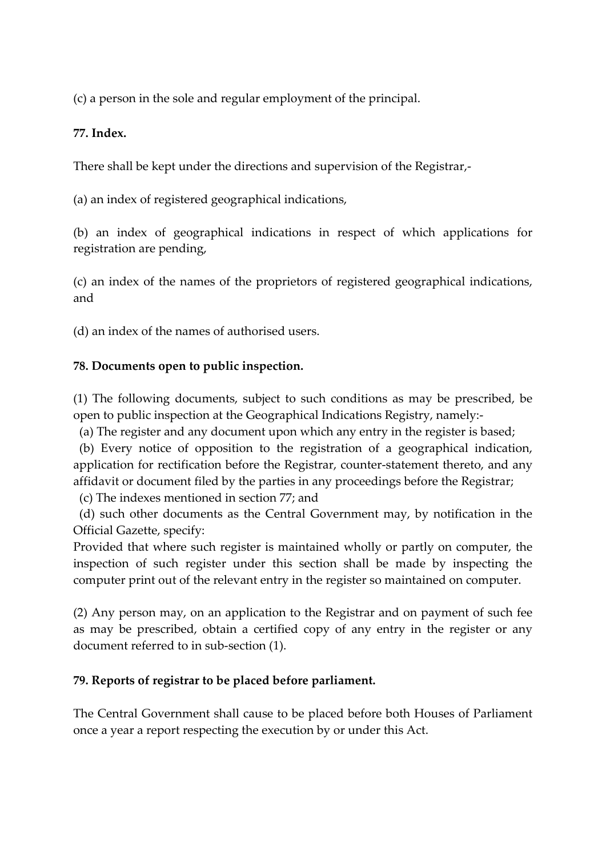(c) a person in the sole and regular employment of the principal.

### **77. Index.**

There shall be kept under the directions and supervision of the Registrar,-

(a) an index of registered geographical indications,

(b) an index of geographical indications in respect of which applications for registration are pending,

(c) an index of the names of the proprietors of registered geographical indications, and

(d) an index of the names of authorised users.

## **78. Documents open to public inspection.**

(1) The following documents, subject to such conditions as may be prescribed, be open to public inspection at the Geographical Indications Registry, namely:-

(a) The register and any document upon which any entry in the register is based;

 (b) Every notice of opposition to the registration of a geographical indication, application for rectification before the Registrar, counter-statement thereto, and any affidavit or document filed by the parties in any proceedings before the Registrar;

(c) The indexes mentioned in section 77; and

 (d) such other documents as the Central Government may, by notification in the Official Gazette, specify:

Provided that where such register is maintained wholly or partly on computer, the inspection of such register under this section shall be made by inspecting the computer print out of the relevant entry in the register so maintained on computer.

(2) Any person may, on an application to the Registrar and on payment of such fee as may be prescribed, obtain a certified copy of any entry in the register or any document referred to in sub-section (1).

# **79. Reports of registrar to be placed before parliament.**

The Central Government shall cause to be placed before both Houses of Parliament once a year a report respecting the execution by or under this Act.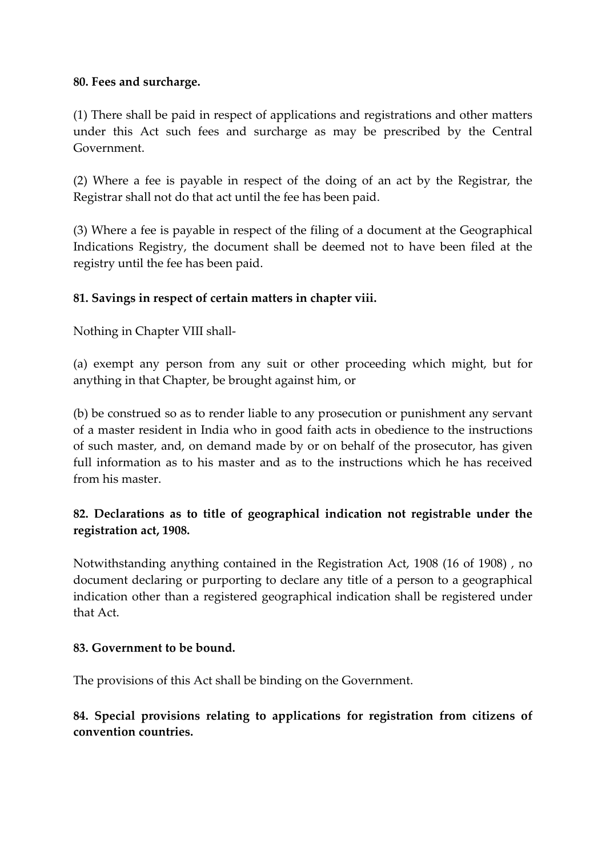#### **80. Fees and surcharge.**

(1) There shall be paid in respect of applications and registrations and other matters under this Act such fees and surcharge as may be prescribed by the Central Government.

(2) Where a fee is payable in respect of the doing of an act by the Registrar, the Registrar shall not do that act until the fee has been paid.

(3) Where a fee is payable in respect of the filing of a document at the Geographical Indications Registry, the document shall be deemed not to have been filed at the registry until the fee has been paid.

## **81. Savings in respect of certain matters in chapter viii.**

Nothing in Chapter VIII shall-

(a) exempt any person from any suit or other proceeding which might, but for anything in that Chapter, be brought against him, or

(b) be construed so as to render liable to any prosecution or punishment any servant of a master resident in India who in good faith acts in obedience to the instructions of such master, and, on demand made by or on behalf of the prosecutor, has given full information as to his master and as to the instructions which he has received from his master.

## **82. Declarations as to title of geographical indication not registrable under the registration act, 1908.**

Notwithstanding anything contained in the Registration Act, 1908 (16 of 1908) , no document declaring or purporting to declare any title of a person to a geographical indication other than a registered geographical indication shall be registered under that Act.

#### **83. Government to be bound.**

The provisions of this Act shall be binding on the Government.

# **84. Special provisions relating to applications for registration from citizens of convention countries.**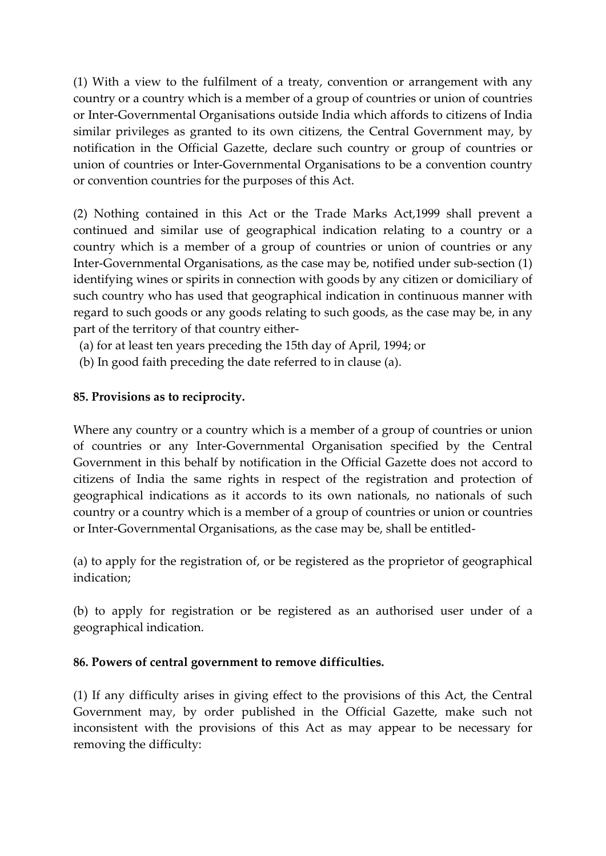(1) With a view to the fulfilment of a treaty, convention or arrangement with any country or a country which is a member of a group of countries or union of countries or Inter-Governmental Organisations outside India which affords to citizens of India similar privileges as granted to its own citizens, the Central Government may, by notification in the Official Gazette, declare such country or group of countries or union of countries or Inter-Governmental Organisations to be a convention country or convention countries for the purposes of this Act.

(2) Nothing contained in this Act or the Trade Marks Act,1999 shall prevent a continued and similar use of geographical indication relating to a country or a country which is a member of a group of countries or union of countries or any Inter-Governmental Organisations, as the case may be, notified under sub-section (1) identifying wines or spirits in connection with goods by any citizen or domiciliary of such country who has used that geographical indication in continuous manner with regard to such goods or any goods relating to such goods, as the case may be, in any part of the territory of that country either-

(a) for at least ten years preceding the 15th day of April, 1994; or

(b) In good faith preceding the date referred to in clause (a).

## **85. Provisions as to reciprocity.**

Where any country or a country which is a member of a group of countries or union of countries or any Inter-Governmental Organisation specified by the Central Government in this behalf by notification in the Official Gazette does not accord to citizens of India the same rights in respect of the registration and protection of geographical indications as it accords to its own nationals, no nationals of such country or a country which is a member of a group of countries or union or countries or Inter-Governmental Organisations, as the case may be, shall be entitled-

(a) to apply for the registration of, or be registered as the proprietor of geographical indication;

(b) to apply for registration or be registered as an authorised user under of a geographical indication.

#### **86. Powers of central government to remove difficulties.**

(1) If any difficulty arises in giving effect to the provisions of this Act, the Central Government may, by order published in the Official Gazette, make such not inconsistent with the provisions of this Act as may appear to be necessary for removing the difficulty: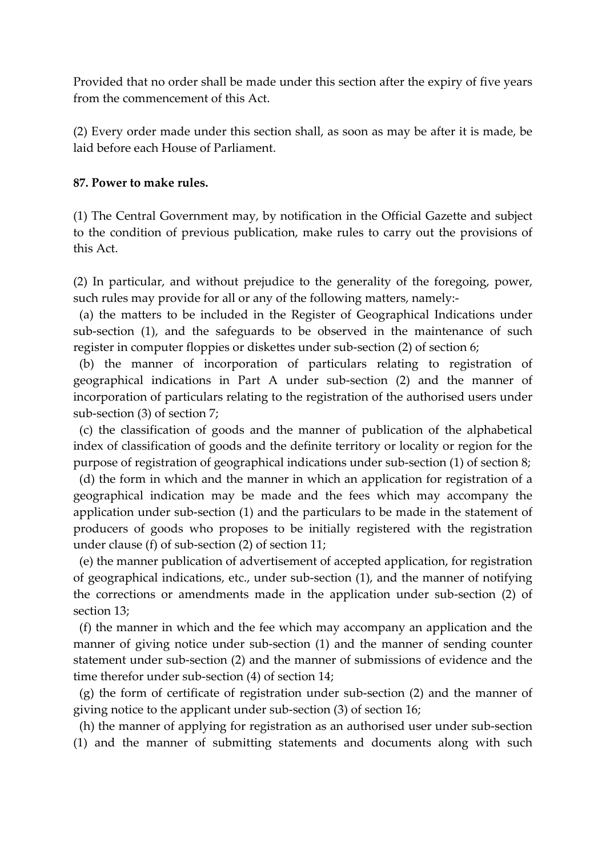Provided that no order shall be made under this section after the expiry of five years from the commencement of this Act.

(2) Every order made under this section shall, as soon as may be after it is made, be laid before each House of Parliament.

#### **87. Power to make rules.**

(1) The Central Government may, by notification in the Official Gazette and subject to the condition of previous publication, make rules to carry out the provisions of this Act.

(2) In particular, and without prejudice to the generality of the foregoing, power, such rules may provide for all or any of the following matters, namely:-

 (a) the matters to be included in the Register of Geographical Indications under sub-section (1), and the safeguards to be observed in the maintenance of such register in computer floppies or diskettes under sub-section (2) of section 6;

 (b) the manner of incorporation of particulars relating to registration of geographical indications in Part A under sub-section (2) and the manner of incorporation of particulars relating to the registration of the authorised users under sub-section (3) of section 7;

 (c) the classification of goods and the manner of publication of the alphabetical index of classification of goods and the definite territory or locality or region for the purpose of registration of geographical indications under sub-section (1) of section 8;

 (d) the form in which and the manner in which an application for registration of a geographical indication may be made and the fees which may accompany the application under sub-section (1) and the particulars to be made in the statement of producers of goods who proposes to be initially registered with the registration under clause (f) of sub-section (2) of section 11;

 (e) the manner publication of advertisement of accepted application, for registration of geographical indications, etc., under sub-section (1), and the manner of notifying the corrections or amendments made in the application under sub-section (2) of section 13;

 (f) the manner in which and the fee which may accompany an application and the manner of giving notice under sub-section (1) and the manner of sending counter statement under sub-section (2) and the manner of submissions of evidence and the time therefor under sub-section (4) of section 14;

 (g) the form of certificate of registration under sub-section (2) and the manner of giving notice to the applicant under sub-section (3) of section 16;

 (h) the manner of applying for registration as an authorised user under sub-section (1) and the manner of submitting statements and documents along with such